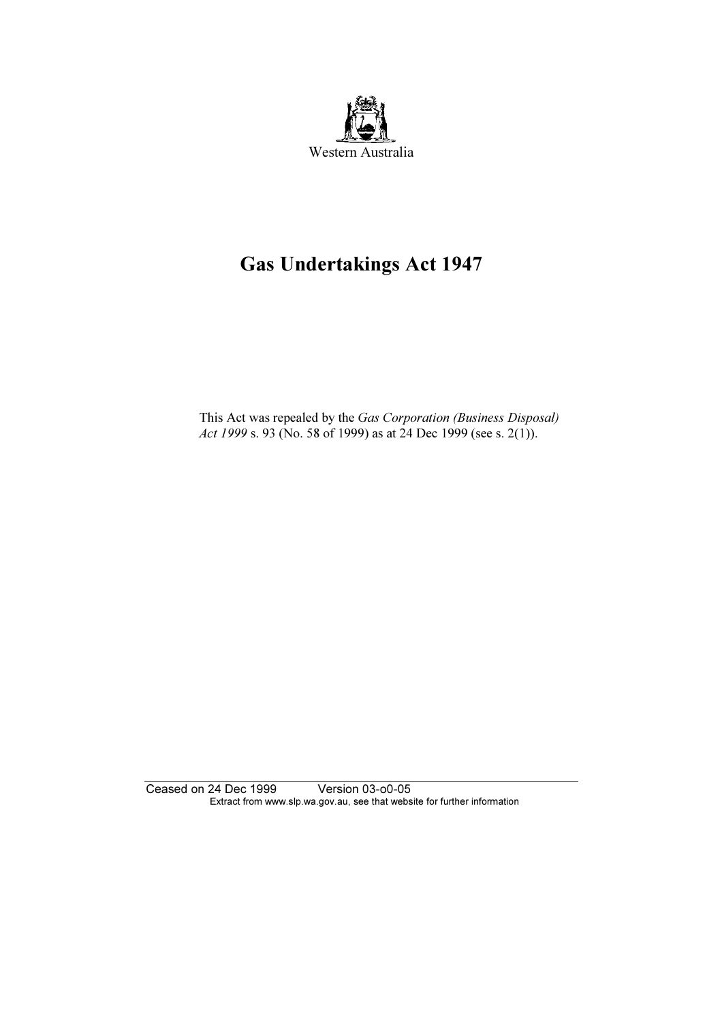

# Gas Undertakings Act 1947

 This Act was repealed by the Gas Corporation (Business Disposal) Act 1999 s. 93 (No. 58 of 1999) as at 24 Dec 1999 (see s. 2(1)).

Ceased on 24 Dec 1999 Version 03-o0-05 Extract from www.slp.wa.gov.au, see that website for further information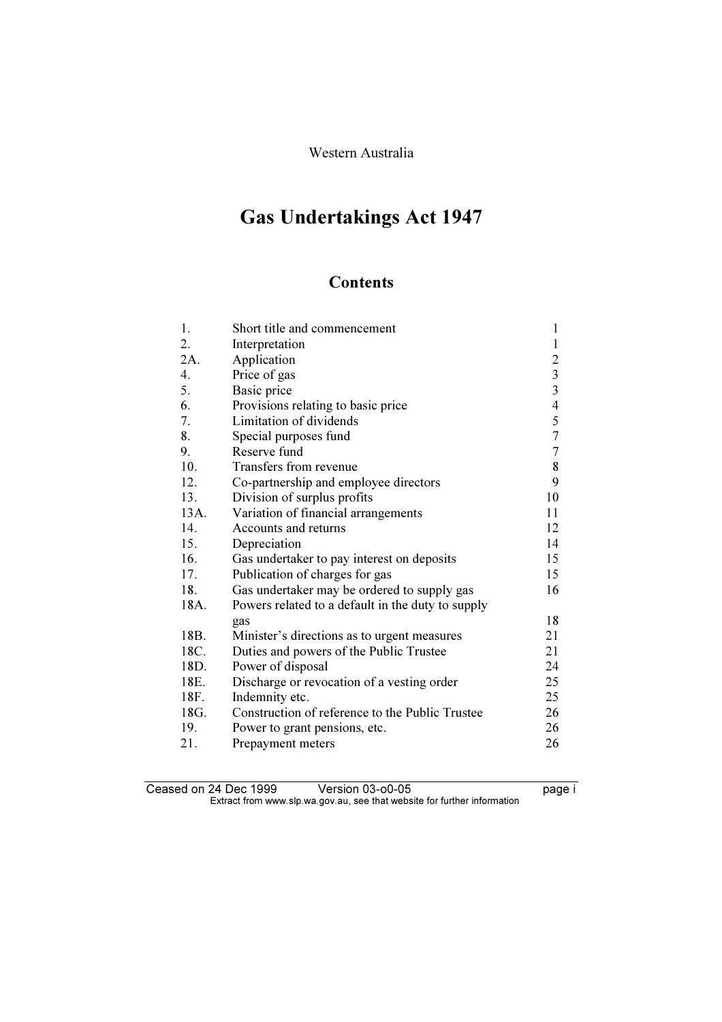# Gas Undertakings Act 1947

# **Contents**

| 1.   | Short title and commencement                      | 1                |
|------|---------------------------------------------------|------------------|
| 2.   | Interpretation                                    | $\mathbf{1}$     |
| 2A.  | Application                                       | $\boldsymbol{2}$ |
| 4.   | Price of gas                                      | $\frac{3}{3}$    |
| 5.   | Basic price                                       |                  |
| 6.   | Provisions relating to basic price                | $\overline{4}$   |
| 7.   | Limitation of dividends                           | 5                |
| 8.   | Special purposes fund                             | $\sqrt{ }$       |
| 9.   | Reserve fund                                      | $\overline{7}$   |
| 10.  | Transfers from revenue                            | 8                |
| 12.  | Co-partnership and employee directors             | 9                |
| 13.  | Division of surplus profits                       | 10               |
| 13A. | Variation of financial arrangements               | 11               |
| 14.  | Accounts and returns                              | 12               |
| 15.  | Depreciation                                      | 14               |
| 16.  | Gas undertaker to pay interest on deposits        | 15               |
| 17.  | Publication of charges for gas                    | 15               |
| 18.  | Gas undertaker may be ordered to supply gas       | 16               |
| 18A. | Powers related to a default in the duty to supply |                  |
|      | gas                                               | 18               |
| 18B. | Minister's directions as to urgent measures       | 21               |
| 18C. | Duties and powers of the Public Trustee           | 21               |
| 18D. | Power of disposal                                 | 24               |
| 18E. | Discharge or revocation of a vesting order        | 25               |
| 18F. | Indemnity etc.                                    | 25               |
| 18G. | Construction of reference to the Public Trustee   | 26               |
| 19.  | Power to grant pensions, etc.                     | 26               |
| 21.  | Prepayment meters                                 | 26               |

Ceased on 24 Dec 1999 Version 03-o0-05 Page i Extract from www.slp.wa.gov.au, see that website for further information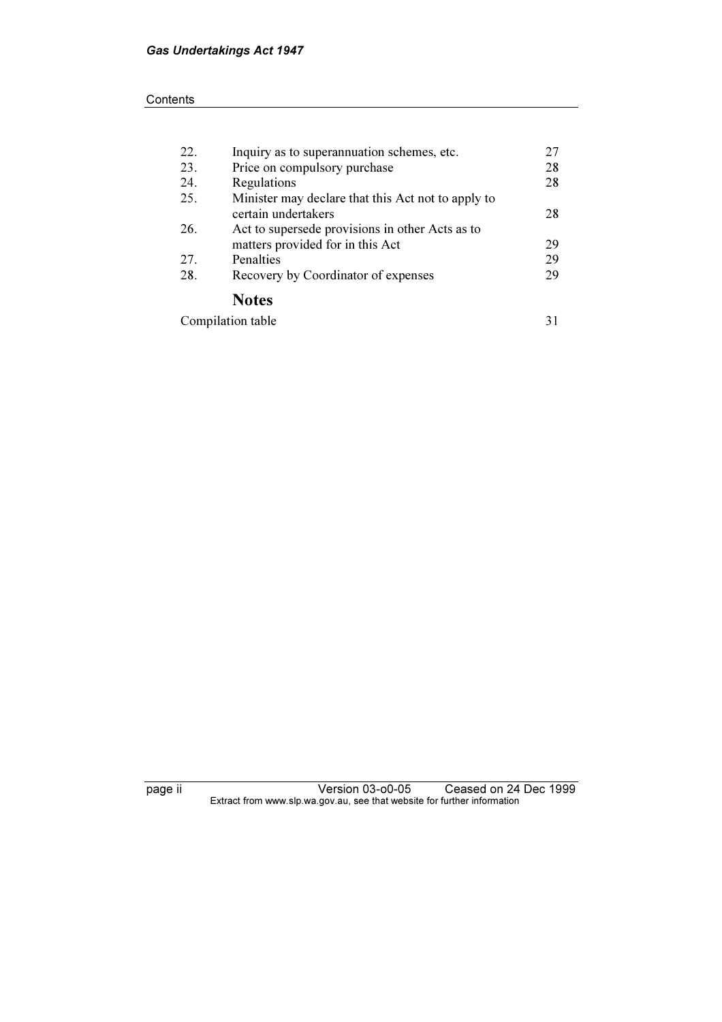#### **Contents**

| 22. | Inquiry as to superannuation schemes, etc.         | 27 |
|-----|----------------------------------------------------|----|
| 23. | Price on compulsory purchase                       | 28 |
| 24. | Regulations                                        | 28 |
| 25. | Minister may declare that this Act not to apply to |    |
|     | certain undertakers                                | 28 |
| 26. | Act to supersede provisions in other Acts as to    |    |
|     | matters provided for in this Act                   | 29 |
| 27. | Penalties                                          | 29 |
| 28. | Recovery by Coordinator of expenses                | 29 |
|     | <b>Notes</b>                                       |    |
|     | Compilation table                                  | 31 |

page ii Version 03-o0-05 Ceased on 24 Dec 1999  $\mathbf{F}$  from which was the set that we besite for further information  $\mathbf{F}$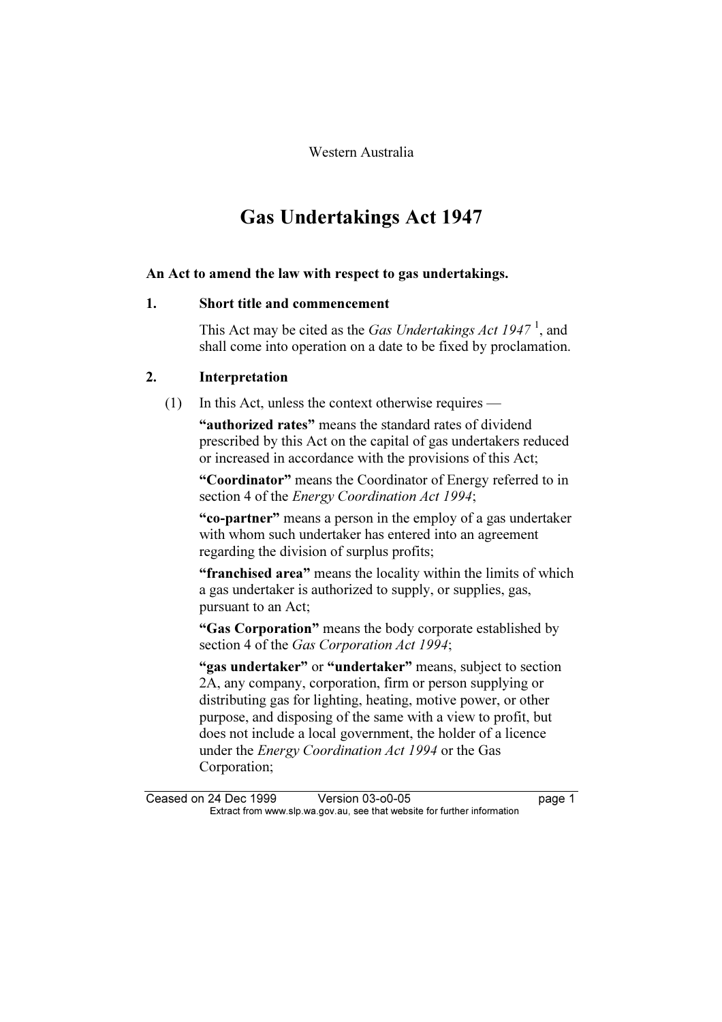Western Australia

# Gas Undertakings Act 1947

#### An Act to amend the law with respect to gas undertakings.

# 1. Short title and commencement

This Act may be cited as the Gas Undertakings Act  $1947<sup>1</sup>$ , and shall come into operation on a date to be fixed by proclamation.

# 2. Interpretation

# (1) In this Act, unless the context otherwise requires —

"authorized rates" means the standard rates of dividend prescribed by this Act on the capital of gas undertakers reduced or increased in accordance with the provisions of this Act;

 "Coordinator" means the Coordinator of Energy referred to in section 4 of the *Energy Coordination Act 1994*;

 "co-partner" means a person in the employ of a gas undertaker with whom such undertaker has entered into an agreement regarding the division of surplus profits;

"**franchised area**" means the locality within the limits of which a gas undertaker is authorized to supply, or supplies, gas, pursuant to an Act;

 "Gas Corporation" means the body corporate established by section 4 of the Gas Corporation Act 1994;

"gas undertaker" or "undertaker" means, subject to section 2A, any company, corporation, firm or person supplying or distributing gas for lighting, heating, motive power, or other purpose, and disposing of the same with a view to profit, but does not include a local government, the holder of a licence under the Energy Coordination Act 1994 or the Gas Corporation;

Ceased on 24 Dec 1999 Version 03-o0-05 page 1<br>Extract from www.slp.wa.gov.au, see that website for further information  $\mathbf{F}$  from which was the set that we besite for further information  $\mathbf{F}$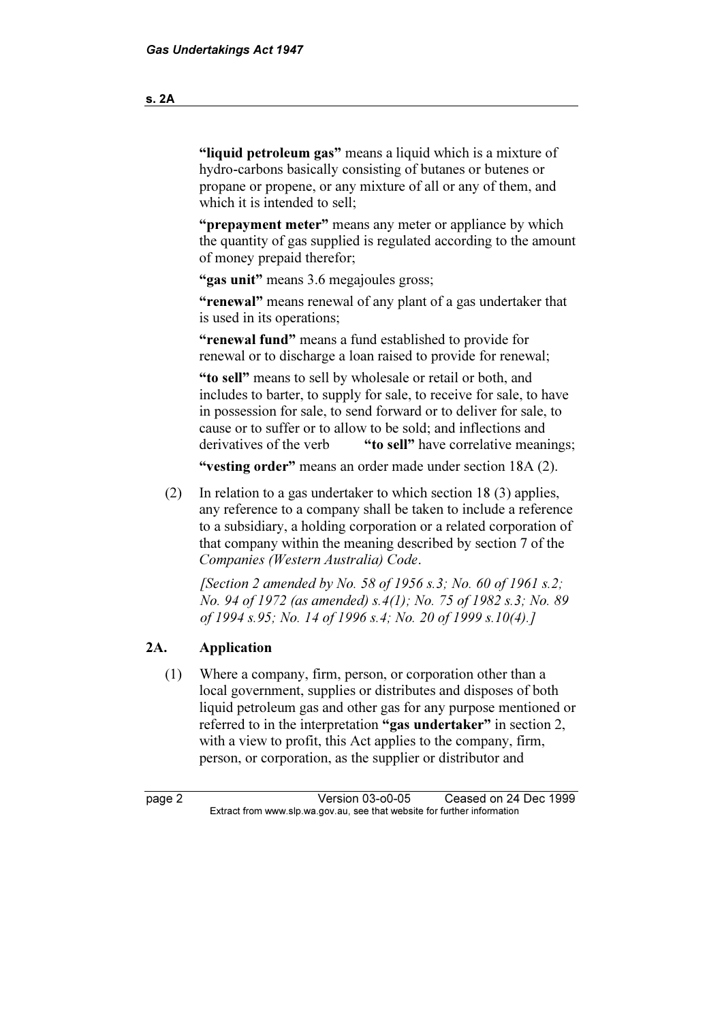"liquid petroleum gas" means a liquid which is a mixture of hydro-carbons basically consisting of butanes or butenes or propane or propene, or any mixture of all or any of them, and which it is intended to sell;

"**prepayment meter**" means any meter or appliance by which the quantity of gas supplied is regulated according to the amount of money prepaid therefor;

"gas unit" means 3.6 megajoules gross;

 "renewal" means renewal of any plant of a gas undertaker that is used in its operations;

 "renewal fund" means a fund established to provide for renewal or to discharge a loan raised to provide for renewal;

 "to sell" means to sell by wholesale or retail or both, and includes to barter, to supply for sale, to receive for sale, to have in possession for sale, to send forward or to deliver for sale, to cause or to suffer or to allow to be sold; and inflections and derivatives of the verb "to sell" have correlative meanings;

"vesting order" means an order made under section 18A (2).

 (2) In relation to a gas undertaker to which section 18 (3) applies, any reference to a company shall be taken to include a reference to a subsidiary, a holding corporation or a related corporation of that company within the meaning described by section 7 of the Companies (Western Australia) Code.

[Section 2 amended by No. 58 of 1956 s.3; No. 60 of 1961 s.2; No. 94 of 1972 (as amended) s.4(1); No. 75 of 1982 s.3; No. 89 of 1994 s.95; No. 14 of 1996 s.4; No. 20 of 1999 s.10(4).]

#### 2A. Application

 (1) Where a company, firm, person, or corporation other than a local government, supplies or distributes and disposes of both liquid petroleum gas and other gas for any purpose mentioned or referred to in the interpretation "gas undertaker" in section 2, with a view to profit, this Act applies to the company, firm, person, or corporation, as the supplier or distributor and

page 2 Version 03-o0-05 Ceased on 24 Dec 1999<br>Extract from www.slp.wa.gov.au, see that website for further information  $\mathbf{F}$  from which was the set that we besite for further information  $\mathbf{F}$ 

s. 2A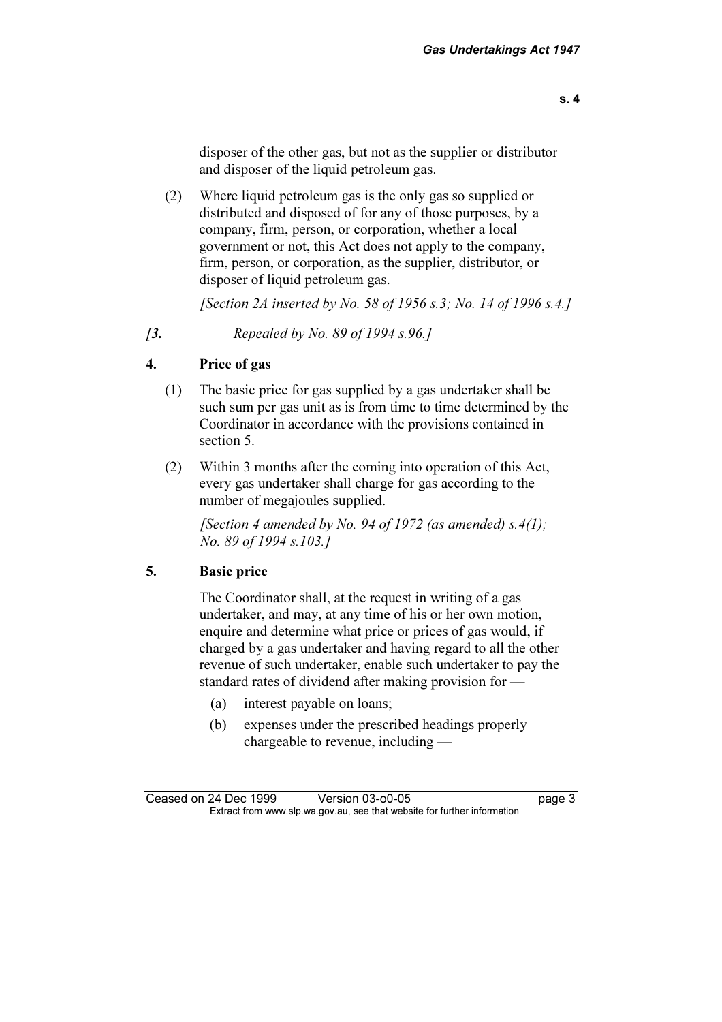disposer of the other gas, but not as the supplier or distributor and disposer of the liquid petroleum gas.

 (2) Where liquid petroleum gas is the only gas so supplied or distributed and disposed of for any of those purposes, by a company, firm, person, or corporation, whether a local government or not, this Act does not apply to the company, firm, person, or corporation, as the supplier, distributor, or disposer of liquid petroleum gas.

[Section 2A inserted by No. 58 of 1956 s.3; No. 14 of 1996 s.4.]

[3. Repealed by No. 89 of 1994 s.96.]

# 4. Price of gas

- (1) The basic price for gas supplied by a gas undertaker shall be such sum per gas unit as is from time to time determined by the Coordinator in accordance with the provisions contained in section 5.
- (2) Within 3 months after the coming into operation of this Act, every gas undertaker shall charge for gas according to the number of megajoules supplied.

[Section 4 amended by No. 94 of 1972 (as amended)  $s.4(1)$ ; No. 89 of 1994 s.103.]

#### 5. Basic price

 The Coordinator shall, at the request in writing of a gas undertaker, and may, at any time of his or her own motion, enquire and determine what price or prices of gas would, if charged by a gas undertaker and having regard to all the other revenue of such undertaker, enable such undertaker to pay the standard rates of dividend after making provision for —

- (a) interest payable on loans;
- (b) expenses under the prescribed headings properly chargeable to revenue, including —

Ceased on 24 Dec 1999 Version 03-o0-05 page 3<br>Extract from www.slp.wa.gov.au, see that website for further information  $\mathbf{F}$  from which was the set that we besite for further information  $\mathbf{F}$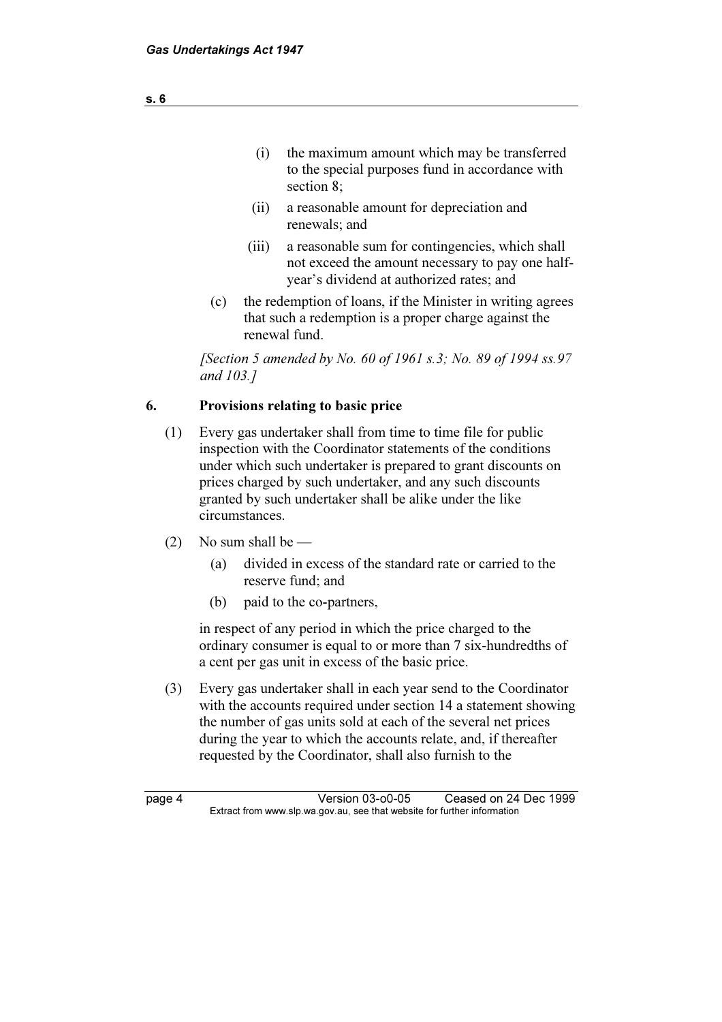- (i) the maximum amount which may be transferred to the special purposes fund in accordance with section 8;
- (ii) a reasonable amount for depreciation and renewals; and
- (iii) a reasonable sum for contingencies, which shall not exceed the amount necessary to pay one halfyear's dividend at authorized rates; and
- (c) the redemption of loans, if the Minister in writing agrees that such a redemption is a proper charge against the renewal fund.

 [Section 5 amended by No. 60 of 1961 s.3; No. 89 of 1994 ss.97 and 103.]

# 6. Provisions relating to basic price

- (1) Every gas undertaker shall from time to time file for public inspection with the Coordinator statements of the conditions under which such undertaker is prepared to grant discounts on prices charged by such undertaker, and any such discounts granted by such undertaker shall be alike under the like circumstances.
- (2) No sum shall be  $-$ 
	- (a) divided in excess of the standard rate or carried to the reserve fund; and
	- (b) paid to the co-partners,

 in respect of any period in which the price charged to the ordinary consumer is equal to or more than 7 six-hundredths of a cent per gas unit in excess of the basic price.

 (3) Every gas undertaker shall in each year send to the Coordinator with the accounts required under section 14 a statement showing the number of gas units sold at each of the several net prices during the year to which the accounts relate, and, if thereafter requested by the Coordinator, shall also furnish to the

page 4 Version 03-o0-05 Ceased on 24 Dec 1999<br>Extract from www.slp.wa.gov.au, see that website for further information  $\mathbf{F}$  from which was the set that we besite for further information  $\mathbf{F}$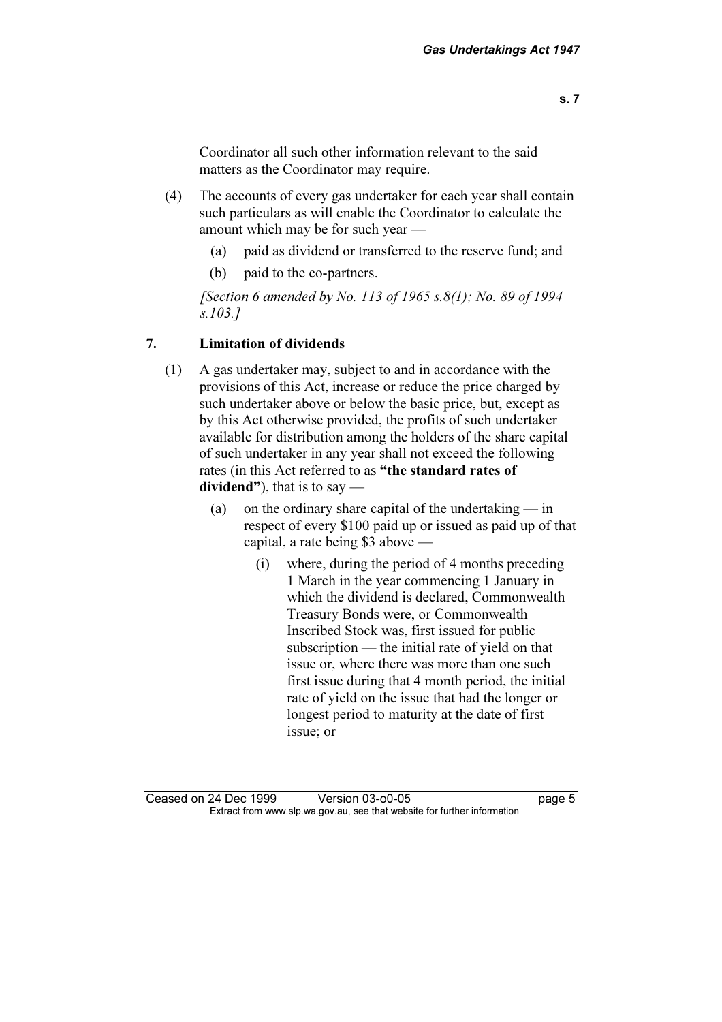Coordinator all such other information relevant to the said matters as the Coordinator may require.

- (4) The accounts of every gas undertaker for each year shall contain such particulars as will enable the Coordinator to calculate the amount which may be for such year —
	- (a) paid as dividend or transferred to the reserve fund; and
	- (b) paid to the co-partners.

[Section 6 amended by No. 113 of 1965 s.8(1); No. 89 of 1994 s.103.]

#### 7. Limitation of dividends

- (1) A gas undertaker may, subject to and in accordance with the provisions of this Act, increase or reduce the price charged by such undertaker above or below the basic price, but, except as by this Act otherwise provided, the profits of such undertaker available for distribution among the holders of the share capital of such undertaker in any year shall not exceed the following rates (in this Act referred to as "the standard rates of dividend"), that is to say —
	- (a) on the ordinary share capital of the undertaking  $-$  in respect of every \$100 paid up or issued as paid up of that capital, a rate being \$3 above —
		- (i) where, during the period of 4 months preceding 1 March in the year commencing 1 January in which the dividend is declared, Commonwealth Treasury Bonds were, or Commonwealth Inscribed Stock was, first issued for public subscription — the initial rate of yield on that issue or, where there was more than one such first issue during that 4 month period, the initial rate of yield on the issue that had the longer or longest period to maturity at the date of first issue; or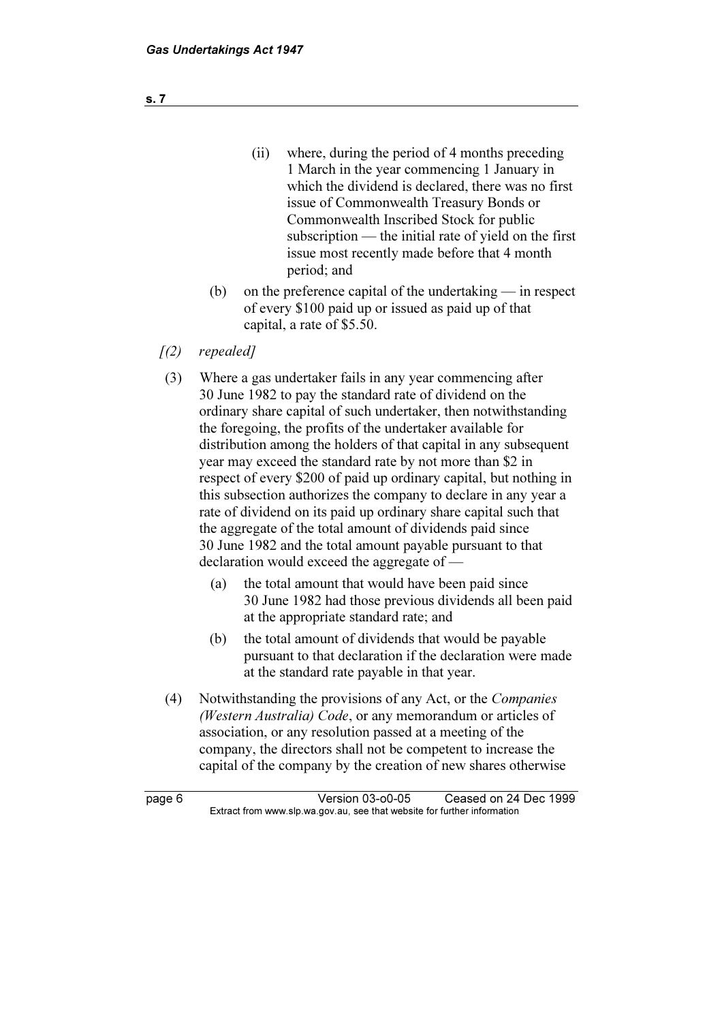- (ii) where, during the period of 4 months preceding 1 March in the year commencing 1 January in which the dividend is declared, there was no first issue of Commonwealth Treasury Bonds or Commonwealth Inscribed Stock for public subscription — the initial rate of yield on the first issue most recently made before that 4 month period; and
- (b) on the preference capital of the undertaking in respect of every \$100 paid up or issued as paid up of that capital, a rate of \$5.50.
- $(2)$  repealed]
- (3) Where a gas undertaker fails in any year commencing after 30 June 1982 to pay the standard rate of dividend on the ordinary share capital of such undertaker, then notwithstanding the foregoing, the profits of the undertaker available for distribution among the holders of that capital in any subsequent year may exceed the standard rate by not more than \$2 in respect of every \$200 of paid up ordinary capital, but nothing in this subsection authorizes the company to declare in any year a rate of dividend on its paid up ordinary share capital such that the aggregate of the total amount of dividends paid since 30 June 1982 and the total amount payable pursuant to that declaration would exceed the aggregate of —
	- (a) the total amount that would have been paid since 30 June 1982 had those previous dividends all been paid at the appropriate standard rate; and
	- (b) the total amount of dividends that would be payable pursuant to that declaration if the declaration were made at the standard rate payable in that year.
- (4) Notwithstanding the provisions of any Act, or the Companies (Western Australia) Code, or any memorandum or articles of association, or any resolution passed at a meeting of the company, the directors shall not be competent to increase the capital of the company by the creation of new shares otherwise

page 6 Version 03-o0-05 Ceased on 24 Dec 1999<br>Extract from www.slp.wa.gov.au, see that website for further information  $\mathbf{F}$  from which was the set that we besite for further information  $\mathbf{F}$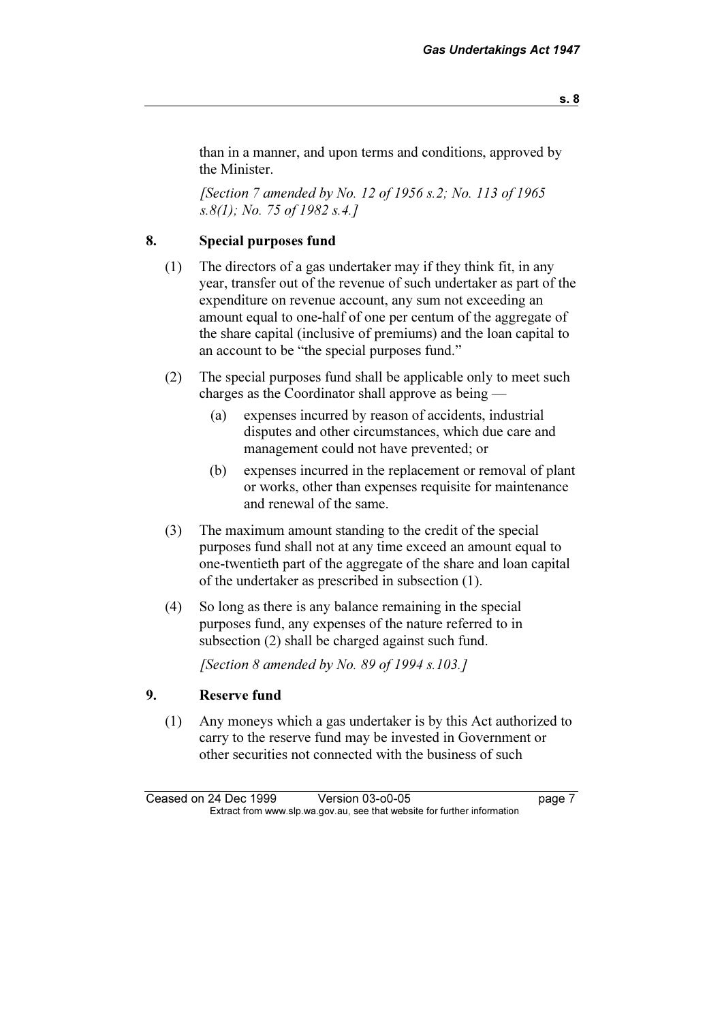than in a manner, and upon terms and conditions, approved by the Minister.

[Section 7 amended by No. 12 of 1956 s.2; No. 113 of 1965] s.8(1); No. 75 of 1982 s.4.]

# 8. Special purposes fund

- (1) The directors of a gas undertaker may if they think fit, in any year, transfer out of the revenue of such undertaker as part of the expenditure on revenue account, any sum not exceeding an amount equal to one-half of one per centum of the aggregate of the share capital (inclusive of premiums) and the loan capital to an account to be "the special purposes fund."
- (2) The special purposes fund shall be applicable only to meet such charges as the Coordinator shall approve as being —
	- (a) expenses incurred by reason of accidents, industrial disputes and other circumstances, which due care and management could not have prevented; or
	- (b) expenses incurred in the replacement or removal of plant or works, other than expenses requisite for maintenance and renewal of the same.
- (3) The maximum amount standing to the credit of the special purposes fund shall not at any time exceed an amount equal to one-twentieth part of the aggregate of the share and loan capital of the undertaker as prescribed in subsection (1).
- (4) So long as there is any balance remaining in the special purposes fund, any expenses of the nature referred to in subsection (2) shall be charged against such fund.

[Section 8 amended by No. 89 of 1994  $s.103.1$ ]

#### 9. Reserve fund

 (1) Any moneys which a gas undertaker is by this Act authorized to carry to the reserve fund may be invested in Government or other securities not connected with the business of such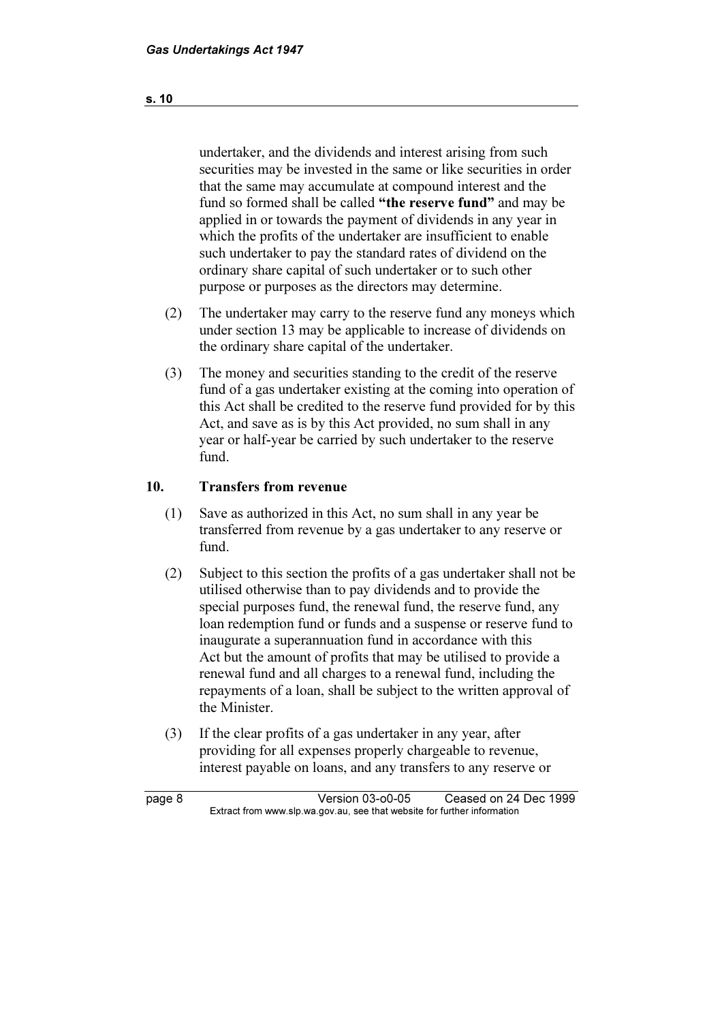undertaker, and the dividends and interest arising from such securities may be invested in the same or like securities in order that the same may accumulate at compound interest and the fund so formed shall be called "the reserve fund" and may be applied in or towards the payment of dividends in any year in which the profits of the undertaker are insufficient to enable such undertaker to pay the standard rates of dividend on the ordinary share capital of such undertaker or to such other purpose or purposes as the directors may determine.

- (2) The undertaker may carry to the reserve fund any moneys which under section 13 may be applicable to increase of dividends on the ordinary share capital of the undertaker.
- (3) The money and securities standing to the credit of the reserve fund of a gas undertaker existing at the coming into operation of this Act shall be credited to the reserve fund provided for by this Act, and save as is by this Act provided, no sum shall in any year or half-year be carried by such undertaker to the reserve fund.

#### 10. Transfers from revenue

- (1) Save as authorized in this Act, no sum shall in any year be transferred from revenue by a gas undertaker to any reserve or fund.
- (2) Subject to this section the profits of a gas undertaker shall not be utilised otherwise than to pay dividends and to provide the special purposes fund, the renewal fund, the reserve fund, any loan redemption fund or funds and a suspense or reserve fund to inaugurate a superannuation fund in accordance with this Act but the amount of profits that may be utilised to provide a renewal fund and all charges to a renewal fund, including the repayments of a loan, shall be subject to the written approval of the Minister.
- (3) If the clear profits of a gas undertaker in any year, after providing for all expenses properly chargeable to revenue, interest payable on loans, and any transfers to any reserve or

page 8 Version 03-o0-05 Ceased on 24 Dec 1999<br>Extract from www.slp.wa.gov.au, see that website for further information  $\mathbf{F}$  from which was the set that we besite for further information  $\mathbf{F}$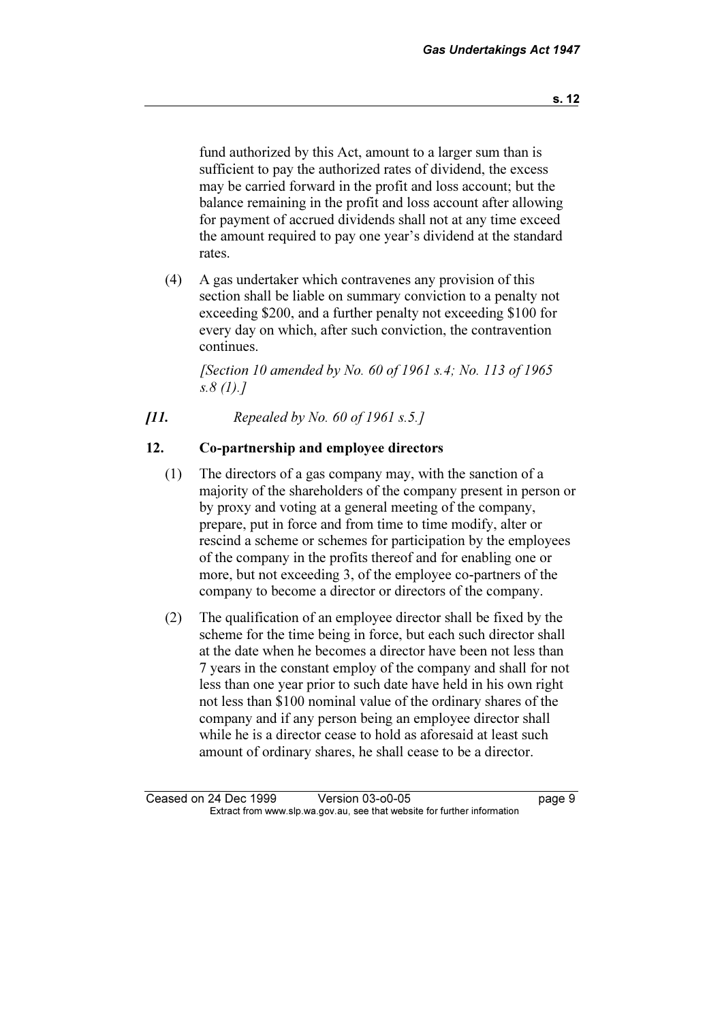fund authorized by this Act, amount to a larger sum than is sufficient to pay the authorized rates of dividend, the excess may be carried forward in the profit and loss account; but the balance remaining in the profit and loss account after allowing for payment of accrued dividends shall not at any time exceed the amount required to pay one year's dividend at the standard rates.

 (4) A gas undertaker which contravenes any provision of this section shall be liable on summary conviction to a penalty not exceeding \$200, and a further penalty not exceeding \$100 for every day on which, after such conviction, the contravention continues.

[Section 10 amended by No. 60 of 1961 s.4; No. 113 of 1965] s.8 (1).]

 $[11.$  Repealed by No. 60 of 1961 s.5.]

## 12. Co-partnership and employee directors

- (1) The directors of a gas company may, with the sanction of a majority of the shareholders of the company present in person or by proxy and voting at a general meeting of the company, prepare, put in force and from time to time modify, alter or rescind a scheme or schemes for participation by the employees of the company in the profits thereof and for enabling one or more, but not exceeding 3, of the employee co-partners of the company to become a director or directors of the company.
- (2) The qualification of an employee director shall be fixed by the scheme for the time being in force, but each such director shall at the date when he becomes a director have been not less than 7 years in the constant employ of the company and shall for not less than one year prior to such date have held in his own right not less than \$100 nominal value of the ordinary shares of the company and if any person being an employee director shall while he is a director cease to hold as aforesaid at least such amount of ordinary shares, he shall cease to be a director.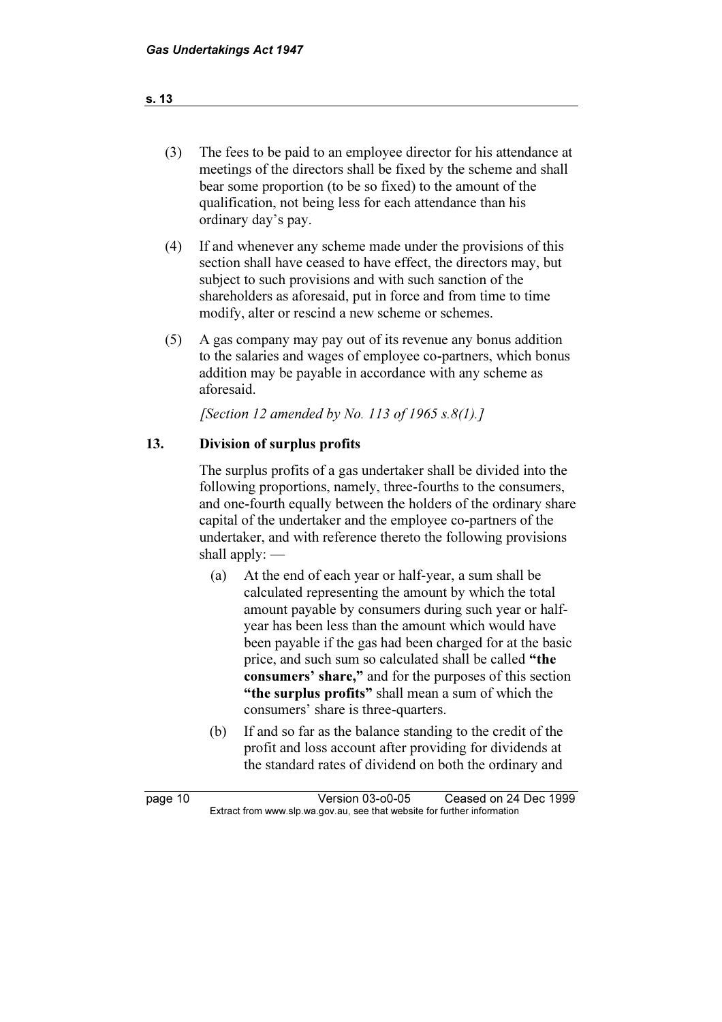# (3) The fees to be paid to an employee director for his attendance at meetings of the directors shall be fixed by the scheme and shall bear some proportion (to be so fixed) to the amount of the qualification, not being less for each attendance than his ordinary day's pay.

- (4) If and whenever any scheme made under the provisions of this section shall have ceased to have effect, the directors may, but subject to such provisions and with such sanction of the shareholders as aforesaid, put in force and from time to time modify, alter or rescind a new scheme or schemes.
- (5) A gas company may pay out of its revenue any bonus addition to the salaries and wages of employee co-partners, which bonus addition may be payable in accordance with any scheme as aforesaid.

[Section 12 amended by No. 113 of 1965 s.8(1).]

# 13. Division of surplus profits

 The surplus profits of a gas undertaker shall be divided into the following proportions, namely, three-fourths to the consumers, and one-fourth equally between the holders of the ordinary share capital of the undertaker and the employee co-partners of the undertaker, and with reference thereto the following provisions shall apply: —

- (a) At the end of each year or half-year, a sum shall be calculated representing the amount by which the total amount payable by consumers during such year or halfyear has been less than the amount which would have been payable if the gas had been charged for at the basic price, and such sum so calculated shall be called "the consumers' share," and for the purposes of this section "the surplus profits" shall mean a sum of which the consumers' share is three-quarters.
- (b) If and so far as the balance standing to the credit of the profit and loss account after providing for dividends at the standard rates of dividend on both the ordinary and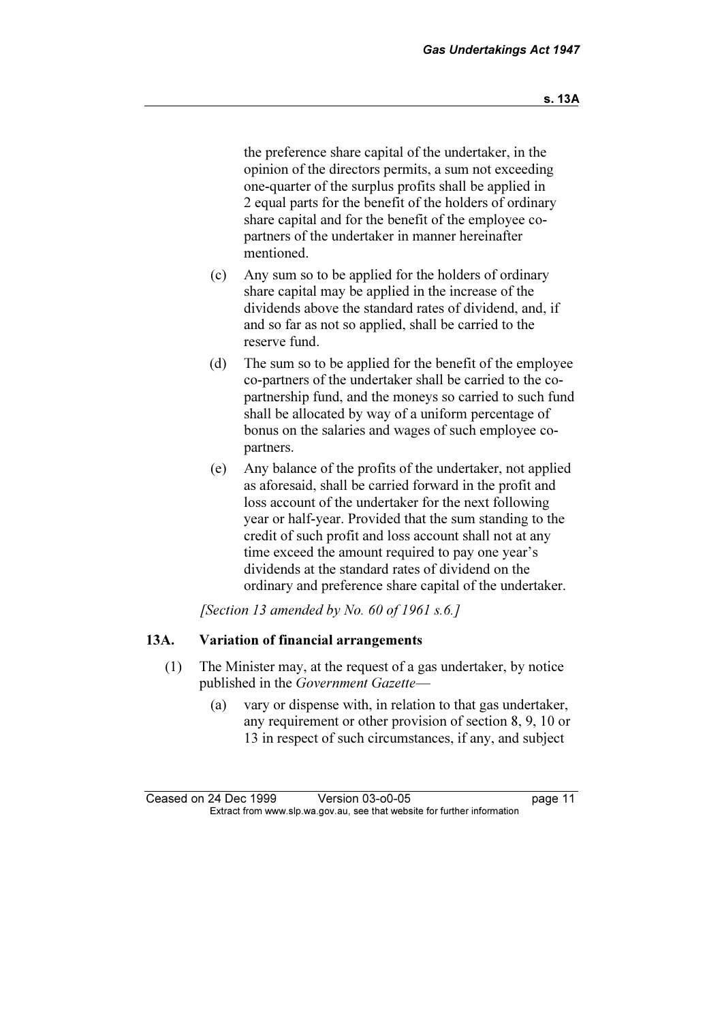the preference share capital of the undertaker, in the opinion of the directors permits, a sum not exceeding one-quarter of the surplus profits shall be applied in 2 equal parts for the benefit of the holders of ordinary share capital and for the benefit of the employee copartners of the undertaker in manner hereinafter mentioned.

- (c) Any sum so to be applied for the holders of ordinary share capital may be applied in the increase of the dividends above the standard rates of dividend, and, if and so far as not so applied, shall be carried to the reserve fund.
- (d) The sum so to be applied for the benefit of the employee co-partners of the undertaker shall be carried to the copartnership fund, and the moneys so carried to such fund shall be allocated by way of a uniform percentage of bonus on the salaries and wages of such employee copartners.
- (e) Any balance of the profits of the undertaker, not applied as aforesaid, shall be carried forward in the profit and loss account of the undertaker for the next following year or half-year. Provided that the sum standing to the credit of such profit and loss account shall not at any time exceed the amount required to pay one year's dividends at the standard rates of dividend on the ordinary and preference share capital of the undertaker.

[Section 13 amended by No. 60 of 1961 s.6.]

#### 13A. Variation of financial arrangements

- (1) The Minister may, at the request of a gas undertaker, by notice published in the Government Gazette-
	- (a) vary or dispense with, in relation to that gas undertaker, any requirement or other provision of section 8, 9, 10 or 13 in respect of such circumstances, if any, and subject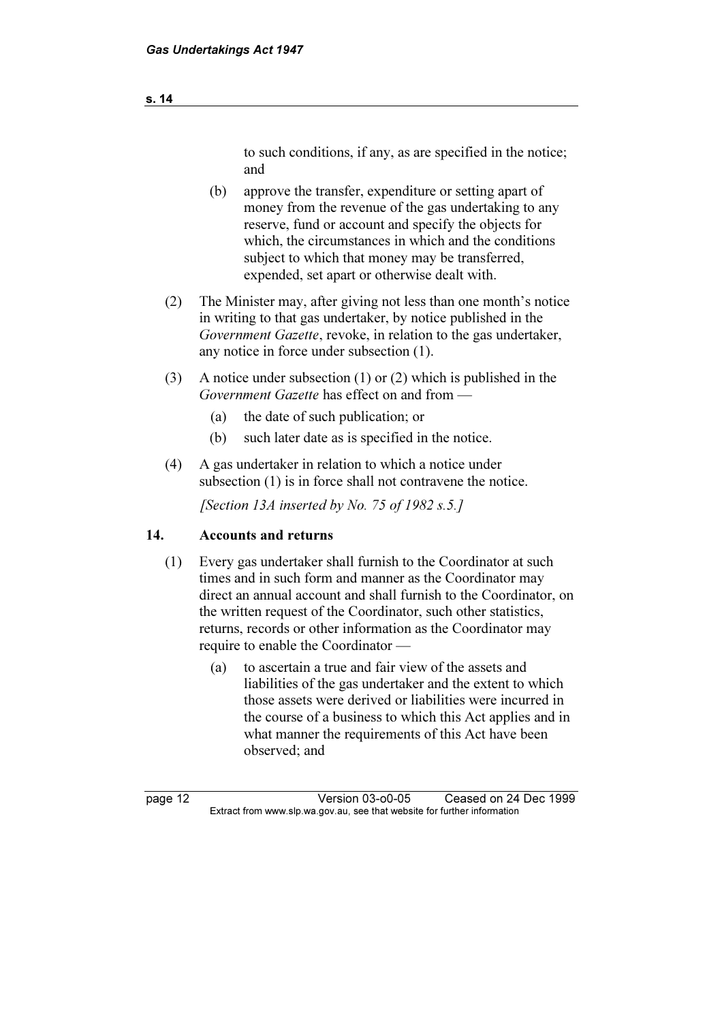# to such conditions, if any, as are specified in the notice; and

- (b) approve the transfer, expenditure or setting apart of money from the revenue of the gas undertaking to any reserve, fund or account and specify the objects for which, the circumstances in which and the conditions subject to which that money may be transferred, expended, set apart or otherwise dealt with.
- (2) The Minister may, after giving not less than one month's notice in writing to that gas undertaker, by notice published in the Government Gazette, revoke, in relation to the gas undertaker, any notice in force under subsection (1).
- (3) A notice under subsection (1) or (2) which is published in the Government Gazette has effect on and from —
	- (a) the date of such publication; or
	- (b) such later date as is specified in the notice.
- (4) A gas undertaker in relation to which a notice under subsection (1) is in force shall not contravene the notice.

[Section 13A inserted by No. 75 of 1982 s.5.]

# 14. Accounts and returns

- (1) Every gas undertaker shall furnish to the Coordinator at such times and in such form and manner as the Coordinator may direct an annual account and shall furnish to the Coordinator, on the written request of the Coordinator, such other statistics, returns, records or other information as the Coordinator may require to enable the Coordinator —
	- (a) to ascertain a true and fair view of the assets and liabilities of the gas undertaker and the extent to which those assets were derived or liabilities were incurred in the course of a business to which this Act applies and in what manner the requirements of this Act have been observed; and

page 12 <br>Extract from www.slp.wa.gov.au, see that website for further information<br>Extract from www.slp.wa.gov.au, see that website for further information  $\mathbf{F}$  from which was the set that we besite for further information  $\mathbf{F}$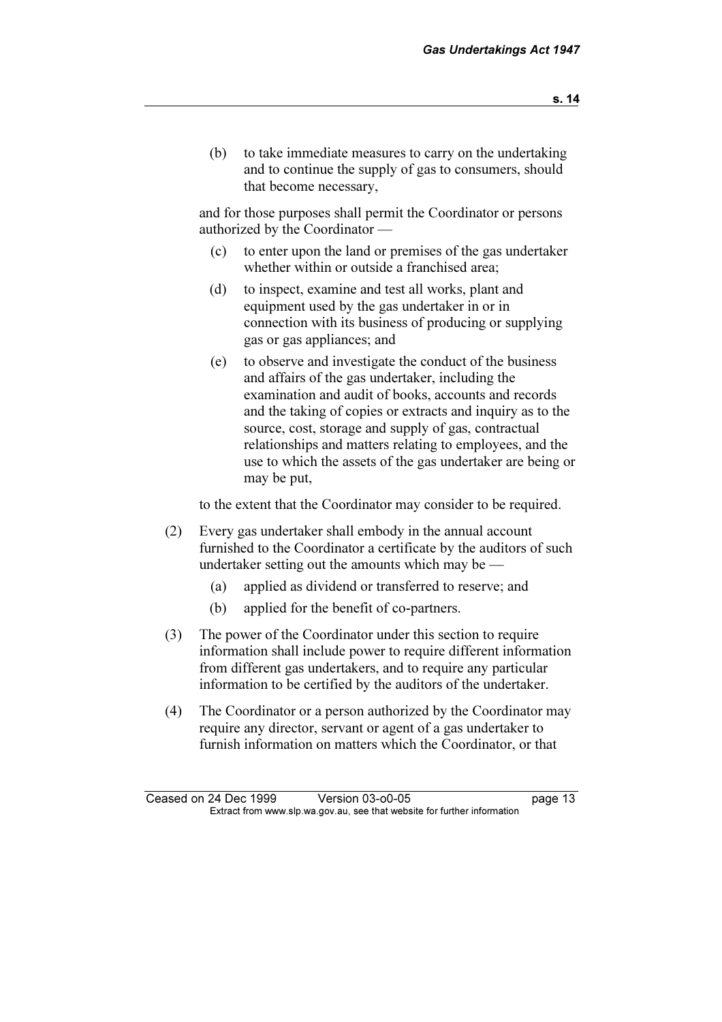(b) to take immediate measures to carry on the undertaking and to continue the supply of gas to consumers, should that become necessary,

 and for those purposes shall permit the Coordinator or persons authorized by the Coordinator —

- (c) to enter upon the land or premises of the gas undertaker whether within or outside a franchised area;
- (d) to inspect, examine and test all works, plant and equipment used by the gas undertaker in or in connection with its business of producing or supplying gas or gas appliances; and
- (e) to observe and investigate the conduct of the business and affairs of the gas undertaker, including the examination and audit of books, accounts and records and the taking of copies or extracts and inquiry as to the source, cost, storage and supply of gas, contractual relationships and matters relating to employees, and the use to which the assets of the gas undertaker are being or may be put,

to the extent that the Coordinator may consider to be required.

- (2) Every gas undertaker shall embody in the annual account furnished to the Coordinator a certificate by the auditors of such undertaker setting out the amounts which may be —
	- (a) applied as dividend or transferred to reserve; and
	- (b) applied for the benefit of co-partners.
- (3) The power of the Coordinator under this section to require information shall include power to require different information from different gas undertakers, and to require any particular information to be certified by the auditors of the undertaker.
- (4) The Coordinator or a person authorized by the Coordinator may require any director, servant or agent of a gas undertaker to furnish information on matters which the Coordinator, or that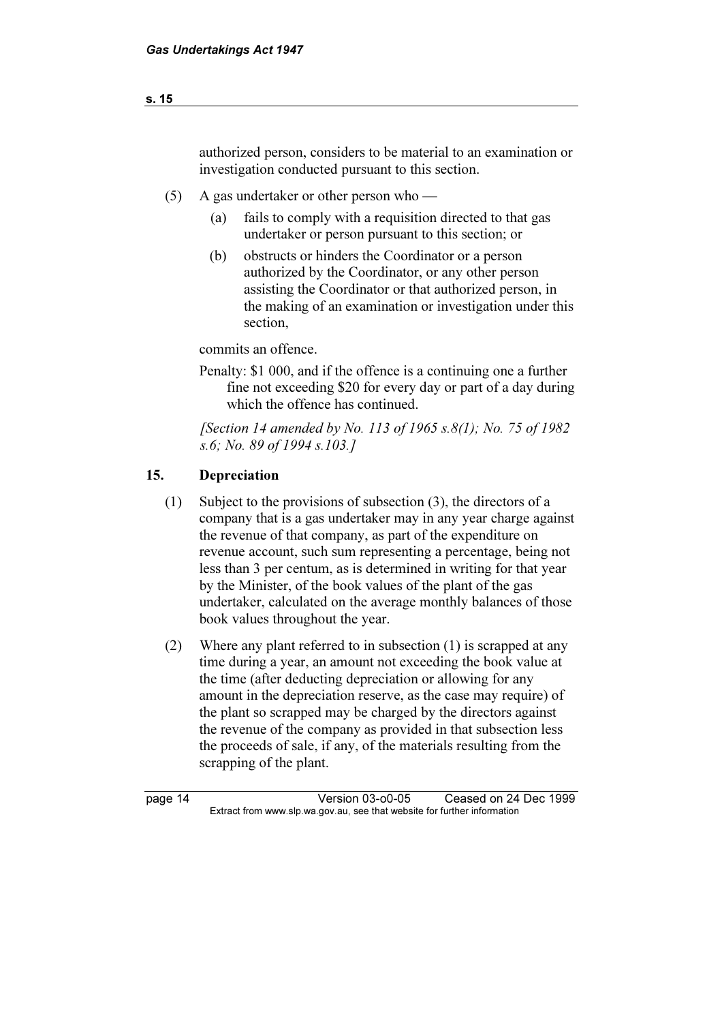# authorized person, considers to be material to an examination or investigation conducted pursuant to this section.

- (5) A gas undertaker or other person who
	- (a) fails to comply with a requisition directed to that gas undertaker or person pursuant to this section; or
	- (b) obstructs or hinders the Coordinator or a person authorized by the Coordinator, or any other person assisting the Coordinator or that authorized person, in the making of an examination or investigation under this section,

commits an offence.

 Penalty: \$1 000, and if the offence is a continuing one a further fine not exceeding \$20 for every day or part of a day during which the offence has continued.

[Section 14 amended by No. 113 of 1965 s.8(1); No. 75 of 1982 s.6; No. 89 of 1994 s.103.]

#### 15. Depreciation

- (1) Subject to the provisions of subsection (3), the directors of a company that is a gas undertaker may in any year charge against the revenue of that company, as part of the expenditure on revenue account, such sum representing a percentage, being not less than 3 per centum, as is determined in writing for that year by the Minister, of the book values of the plant of the gas undertaker, calculated on the average monthly balances of those book values throughout the year.
- (2) Where any plant referred to in subsection (1) is scrapped at any time during a year, an amount not exceeding the book value at the time (after deducting depreciation or allowing for any amount in the depreciation reserve, as the case may require) of the plant so scrapped may be charged by the directors against the revenue of the company as provided in that subsection less the proceeds of sale, if any, of the materials resulting from the scrapping of the plant.

page 14 Version 03-o0-05 Ceased on 24 Dec 1999<br>Extract from www.slp.wa.gov.au, see that website for further information  $\mathbf{F}$  from which was the set that we besite for further information  $\mathbf{F}$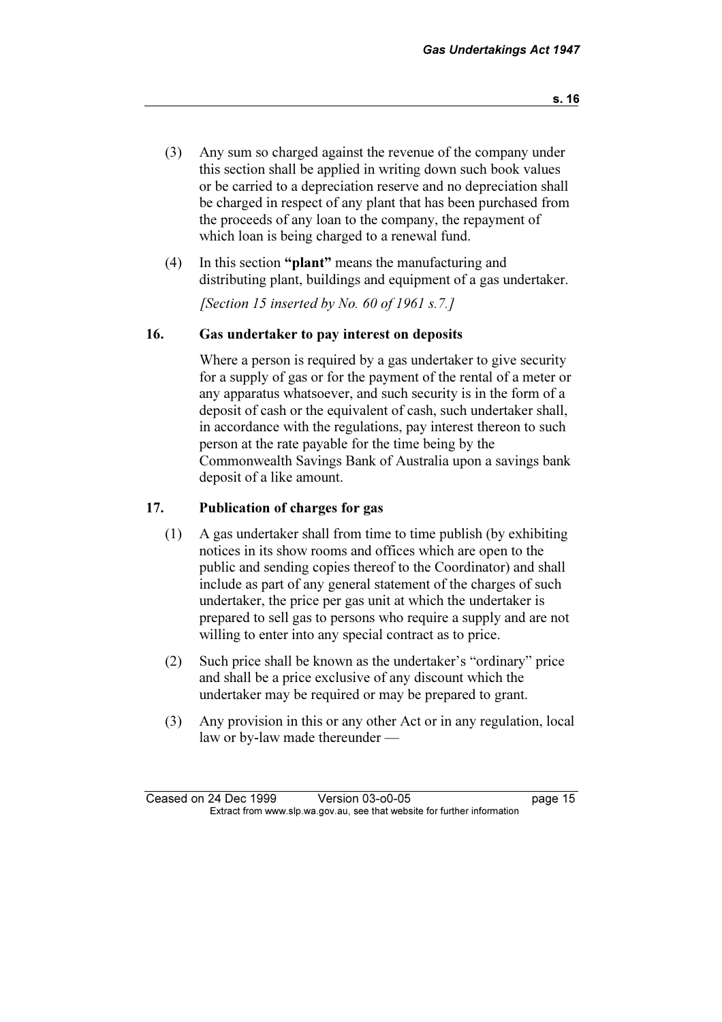- (3) Any sum so charged against the revenue of the company under this section shall be applied in writing down such book values or be carried to a depreciation reserve and no depreciation shall be charged in respect of any plant that has been purchased from the proceeds of any loan to the company, the repayment of which loan is being charged to a renewal fund.
- (4) In this section "plant" means the manufacturing and distributing plant, buildings and equipment of a gas undertaker.

[Section 15 inserted by No. 60 of 1961 s.7.]

#### 16. Gas undertaker to pay interest on deposits

 Where a person is required by a gas undertaker to give security for a supply of gas or for the payment of the rental of a meter or any apparatus whatsoever, and such security is in the form of a deposit of cash or the equivalent of cash, such undertaker shall, in accordance with the regulations, pay interest thereon to such person at the rate payable for the time being by the Commonwealth Savings Bank of Australia upon a savings bank deposit of a like amount.

#### 17. Publication of charges for gas

- (1) A gas undertaker shall from time to time publish (by exhibiting notices in its show rooms and offices which are open to the public and sending copies thereof to the Coordinator) and shall include as part of any general statement of the charges of such undertaker, the price per gas unit at which the undertaker is prepared to sell gas to persons who require a supply and are not willing to enter into any special contract as to price.
- (2) Such price shall be known as the undertaker's "ordinary" price and shall be a price exclusive of any discount which the undertaker may be required or may be prepared to grant.
- (3) Any provision in this or any other Act or in any regulation, local law or by-law made thereunder —

Ceased on 24 Dec 1999 Version 03-o0-05 page 15<br>Extract from www.slp.wa.gov.au, see that website for further information  $\mathbf{F}$  from which was the set that we besite for further information  $\mathbf{F}$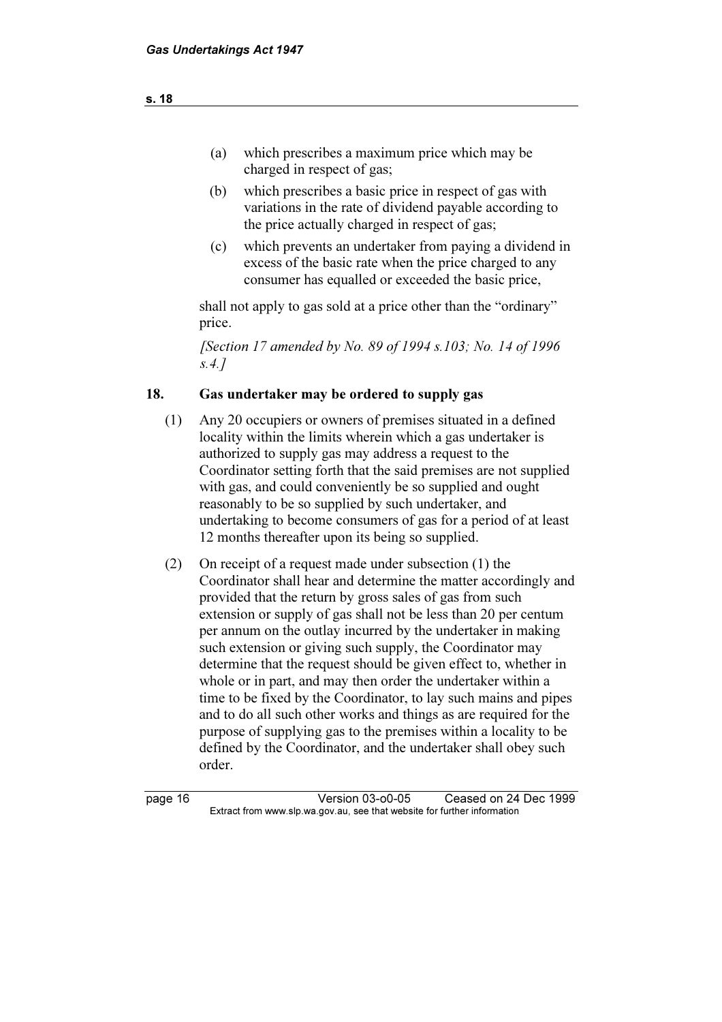- (a) which prescribes a maximum price which may be charged in respect of gas;
- (b) which prescribes a basic price in respect of gas with variations in the rate of dividend payable according to the price actually charged in respect of gas;
- (c) which prevents an undertaker from paying a dividend in excess of the basic rate when the price charged to any consumer has equalled or exceeded the basic price,

 shall not apply to gas sold at a price other than the "ordinary" price.

[Section 17 amended by No. 89 of 1994 s.103; No. 14 of 1996 s.4.]

# 18. Gas undertaker may be ordered to supply gas

- (1) Any 20 occupiers or owners of premises situated in a defined locality within the limits wherein which a gas undertaker is authorized to supply gas may address a request to the Coordinator setting forth that the said premises are not supplied with gas, and could conveniently be so supplied and ought reasonably to be so supplied by such undertaker, and undertaking to become consumers of gas for a period of at least 12 months thereafter upon its being so supplied.
- (2) On receipt of a request made under subsection (1) the Coordinator shall hear and determine the matter accordingly and provided that the return by gross sales of gas from such extension or supply of gas shall not be less than 20 per centum per annum on the outlay incurred by the undertaker in making such extension or giving such supply, the Coordinator may determine that the request should be given effect to, whether in whole or in part, and may then order the undertaker within a time to be fixed by the Coordinator, to lay such mains and pipes and to do all such other works and things as are required for the purpose of supplying gas to the premises within a locality to be defined by the Coordinator, and the undertaker shall obey such order.

page 16 Version 03-o0-05 Ceased on 24 Dec 1999<br>Extract from www.slp.wa.gov.au, see that website for further information  $\mathbf{F}$  from which was the set that we besite for further information  $\mathbf{F}$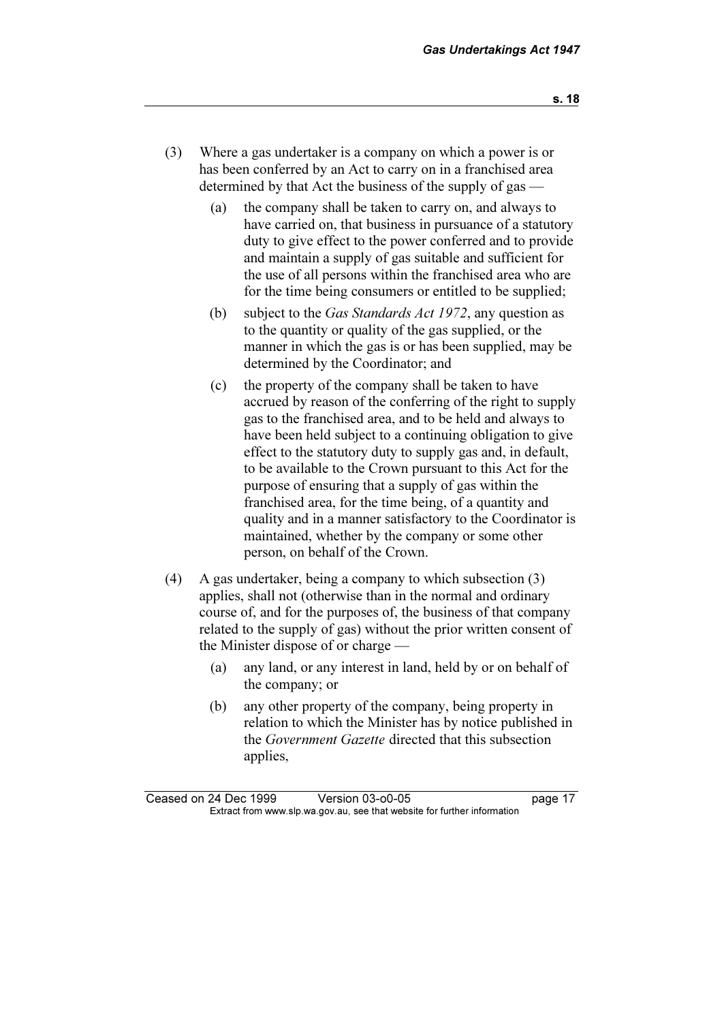- (3) Where a gas undertaker is a company on which a power is or has been conferred by an Act to carry on in a franchised area determined by that Act the business of the supply of gas —
	- (a) the company shall be taken to carry on, and always to have carried on, that business in pursuance of a statutory duty to give effect to the power conferred and to provide and maintain a supply of gas suitable and sufficient for the use of all persons within the franchised area who are for the time being consumers or entitled to be supplied;
	- (b) subject to the Gas Standards Act 1972, any question as to the quantity or quality of the gas supplied, or the manner in which the gas is or has been supplied, may be determined by the Coordinator; and
	- (c) the property of the company shall be taken to have accrued by reason of the conferring of the right to supply gas to the franchised area, and to be held and always to have been held subject to a continuing obligation to give effect to the statutory duty to supply gas and, in default, to be available to the Crown pursuant to this Act for the purpose of ensuring that a supply of gas within the franchised area, for the time being, of a quantity and quality and in a manner satisfactory to the Coordinator is maintained, whether by the company or some other person, on behalf of the Crown.
- (4) A gas undertaker, being a company to which subsection (3) applies, shall not (otherwise than in the normal and ordinary course of, and for the purposes of, the business of that company related to the supply of gas) without the prior written consent of the Minister dispose of or charge —
	- (a) any land, or any interest in land, held by or on behalf of the company; or
	- (b) any other property of the company, being property in relation to which the Minister has by notice published in the Government Gazette directed that this subsection applies,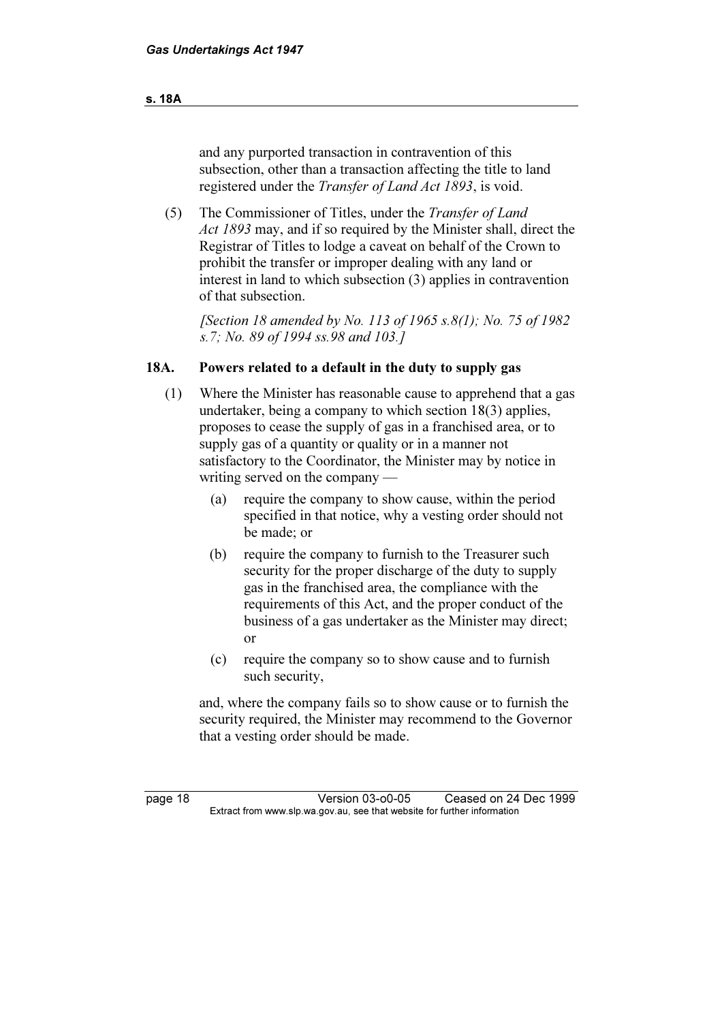#### s. 18A

 and any purported transaction in contravention of this subsection, other than a transaction affecting the title to land registered under the Transfer of Land Act 1893, is void.

 (5) The Commissioner of Titles, under the Transfer of Land Act 1893 may, and if so required by the Minister shall, direct the Registrar of Titles to lodge a caveat on behalf of the Crown to prohibit the transfer or improper dealing with any land or interest in land to which subsection (3) applies in contravention of that subsection.

[Section 18 amended by No. 113 of 1965 s.8(1); No. 75 of 1982 s.7; No. 89 of 1994 ss.98 and 103.]

#### 18A. Powers related to a default in the duty to supply gas

- (1) Where the Minister has reasonable cause to apprehend that a gas undertaker, being a company to which section 18(3) applies, proposes to cease the supply of gas in a franchised area, or to supply gas of a quantity or quality or in a manner not satisfactory to the Coordinator, the Minister may by notice in writing served on the company —
	- (a) require the company to show cause, within the period specified in that notice, why a vesting order should not be made; or
	- (b) require the company to furnish to the Treasurer such security for the proper discharge of the duty to supply gas in the franchised area, the compliance with the requirements of this Act, and the proper conduct of the business of a gas undertaker as the Minister may direct; or
	- (c) require the company so to show cause and to furnish such security,

 and, where the company fails so to show cause or to furnish the security required, the Minister may recommend to the Governor that a vesting order should be made.

page 18 Version 03-o0-05 Ceased on 24 Dec 1999<br>Extract from www.slp.wa.gov.au, see that website for further information  $\mathbf{F}$  from which was the set that we besite for further information  $\mathbf{F}$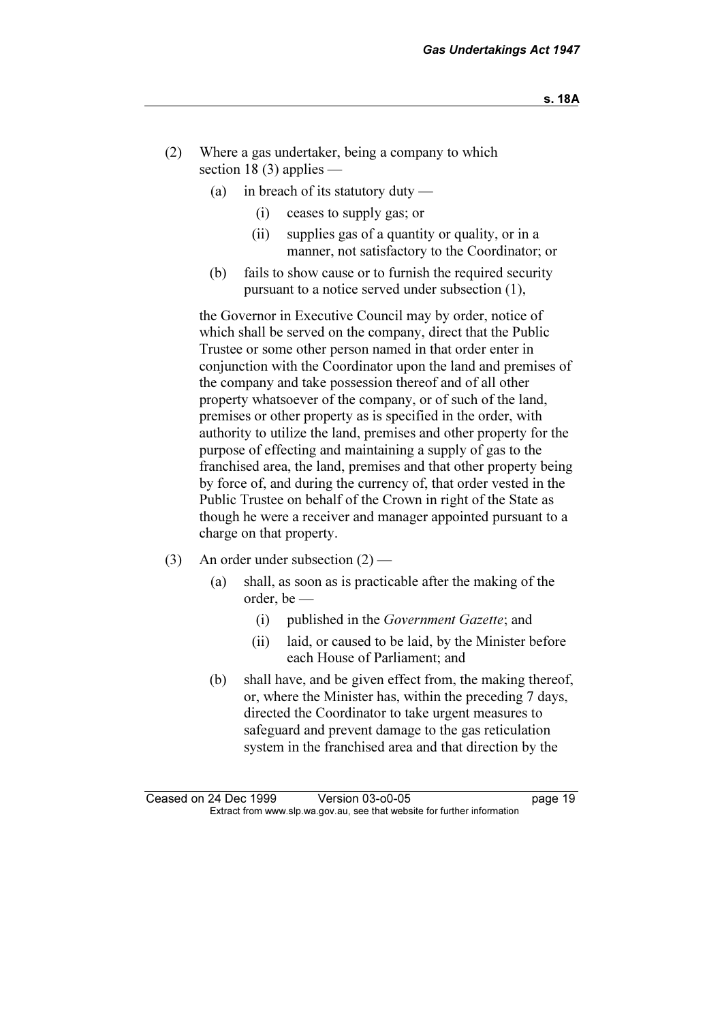- (2) Where a gas undertaker, being a company to which section 18 $(3)$  applies —
	- (a) in breach of its statutory duty
		- (i) ceases to supply gas; or
		- (ii) supplies gas of a quantity or quality, or in a manner, not satisfactory to the Coordinator; or
	- (b) fails to show cause or to furnish the required security pursuant to a notice served under subsection (1),

 the Governor in Executive Council may by order, notice of which shall be served on the company, direct that the Public Trustee or some other person named in that order enter in conjunction with the Coordinator upon the land and premises of the company and take possession thereof and of all other property whatsoever of the company, or of such of the land, premises or other property as is specified in the order, with authority to utilize the land, premises and other property for the purpose of effecting and maintaining a supply of gas to the franchised area, the land, premises and that other property being by force of, and during the currency of, that order vested in the Public Trustee on behalf of the Crown in right of the State as though he were a receiver and manager appointed pursuant to a charge on that property.

- (3) An order under subsection  $(2)$ 
	- (a) shall, as soon as is practicable after the making of the order, be —
		- (i) published in the Government Gazette; and
		- (ii) laid, or caused to be laid, by the Minister before each House of Parliament; and
	- (b) shall have, and be given effect from, the making thereof, or, where the Minister has, within the preceding 7 days, directed the Coordinator to take urgent measures to safeguard and prevent damage to the gas reticulation system in the franchised area and that direction by the

Ceased on 24 Dec 1999 Version 03-o0-05 page 19<br>Extract from www.slp.wa.gov.au, see that website for further information  $\mathbf{F}$  from which was the set that we besite for further information  $\mathbf{F}$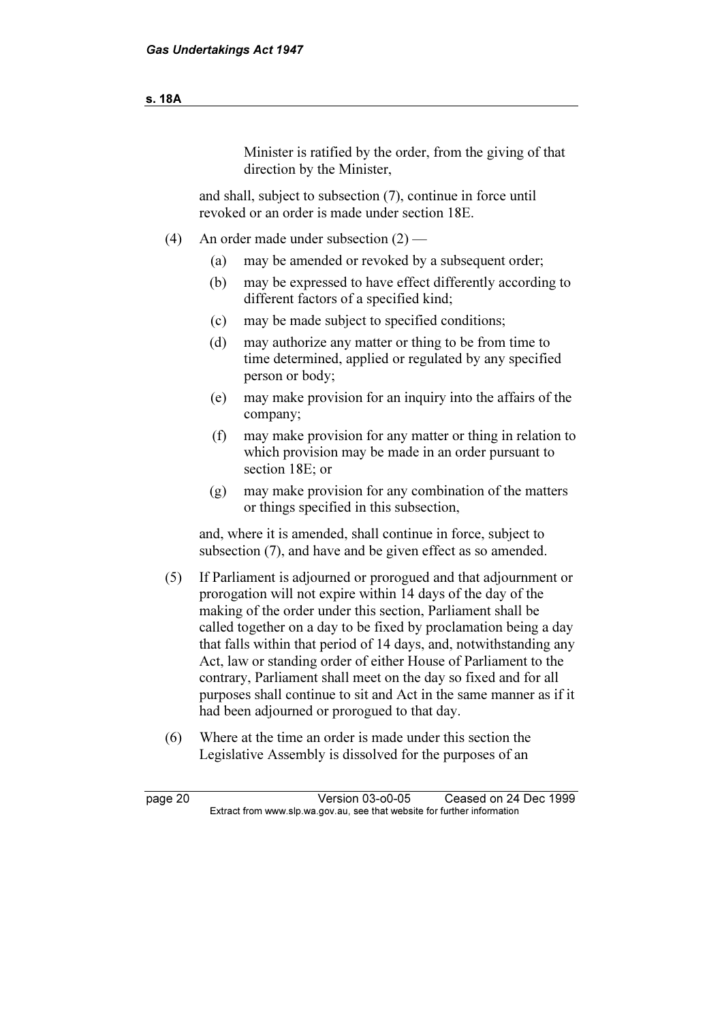| M.<br>۰.<br>۰. |
|----------------|
|----------------|

Minister is ratified by the order, from the giving of that direction by the Minister,

 and shall, subject to subsection (7), continue in force until revoked or an order is made under section 18E.

- (4) An order made under subsection (2)
	- (a) may be amended or revoked by a subsequent order;
	- (b) may be expressed to have effect differently according to different factors of a specified kind;
	- (c) may be made subject to specified conditions;
	- (d) may authorize any matter or thing to be from time to time determined, applied or regulated by any specified person or body;
	- (e) may make provision for an inquiry into the affairs of the company;
	- (f) may make provision for any matter or thing in relation to which provision may be made in an order pursuant to section 18E; or
	- (g) may make provision for any combination of the matters or things specified in this subsection,

 and, where it is amended, shall continue in force, subject to subsection (7), and have and be given effect as so amended.

- (5) If Parliament is adjourned or prorogued and that adjournment or prorogation will not expire within 14 days of the day of the making of the order under this section, Parliament shall be called together on a day to be fixed by proclamation being a day that falls within that period of 14 days, and, notwithstanding any Act, law or standing order of either House of Parliament to the contrary, Parliament shall meet on the day so fixed and for all purposes shall continue to sit and Act in the same manner as if it had been adjourned or prorogued to that day.
- (6) Where at the time an order is made under this section the Legislative Assembly is dissolved for the purposes of an

page 20 Version 03-o0-05 Ceased on 24 Dec 1999<br>Extract from www.slp.wa.gov.au, see that website for further information  $\mathbf{F}$  from which was the set that we besite for further information  $\mathbf{F}$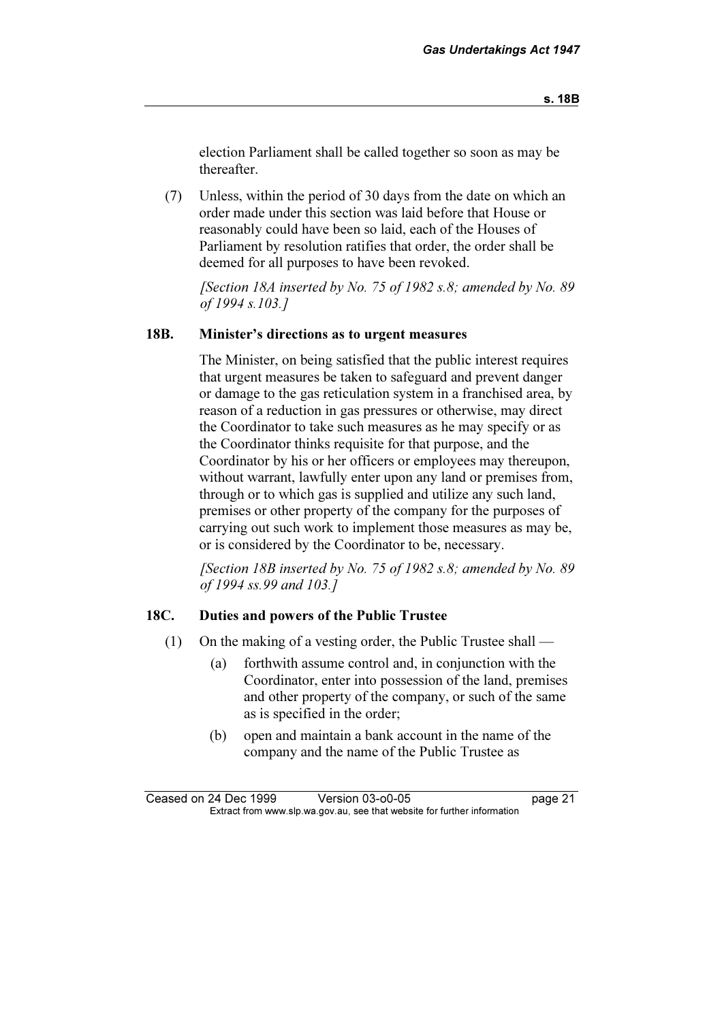election Parliament shall be called together so soon as may be thereafter.

 (7) Unless, within the period of 30 days from the date on which an order made under this section was laid before that House or reasonably could have been so laid, each of the Houses of Parliament by resolution ratifies that order, the order shall be deemed for all purposes to have been revoked.

[Section 18A inserted by No. 75 of 1982 s.8; amended by No. 89] of 1994 s.103.]

#### 18B. Minister's directions as to urgent measures

 The Minister, on being satisfied that the public interest requires that urgent measures be taken to safeguard and prevent danger or damage to the gas reticulation system in a franchised area, by reason of a reduction in gas pressures or otherwise, may direct the Coordinator to take such measures as he may specify or as the Coordinator thinks requisite for that purpose, and the Coordinator by his or her officers or employees may thereupon, without warrant, lawfully enter upon any land or premises from, through or to which gas is supplied and utilize any such land, premises or other property of the company for the purposes of carrying out such work to implement those measures as may be, or is considered by the Coordinator to be, necessary.

[Section 18B inserted by No. 75 of 1982 s.8; amended by No. 89] of 1994 ss.99 and 103.]

#### 18C. Duties and powers of the Public Trustee

- (1) On the making of a vesting order, the Public Trustee shall
	- (a) forthwith assume control and, in conjunction with the Coordinator, enter into possession of the land, premises and other property of the company, or such of the same as is specified in the order;
	- (b) open and maintain a bank account in the name of the company and the name of the Public Trustee as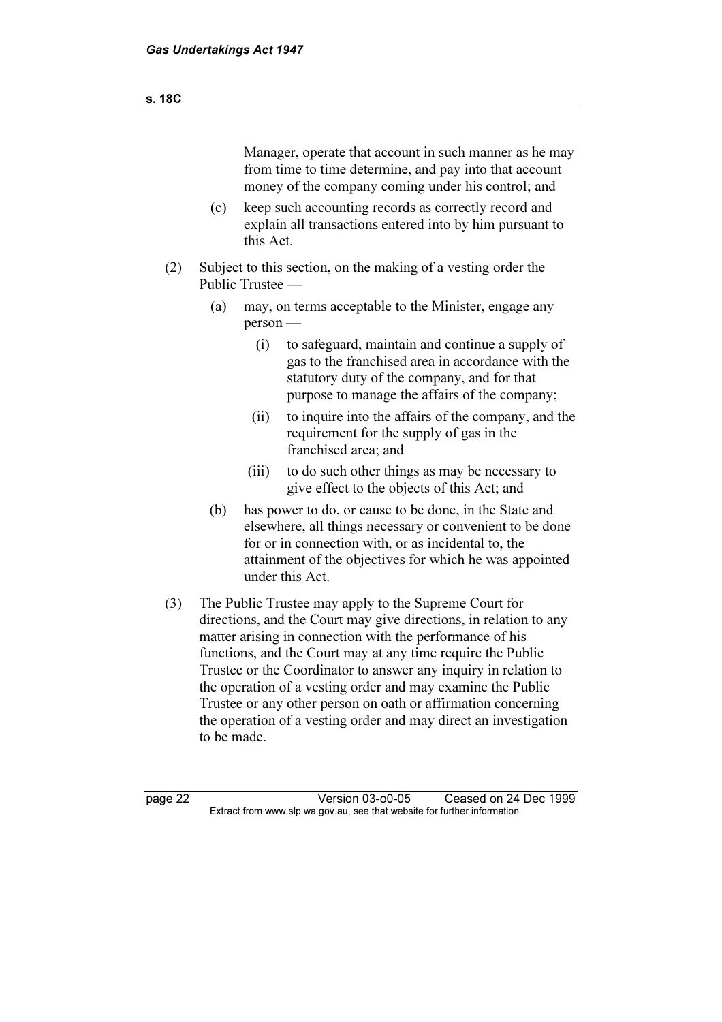| s. 18C |     |                                                                                                                                                                                                                                                         |  |
|--------|-----|---------------------------------------------------------------------------------------------------------------------------------------------------------------------------------------------------------------------------------------------------------|--|
|        |     |                                                                                                                                                                                                                                                         |  |
|        |     | Manager, operate that account in such manner as he may<br>from time to time determine, and pay into that account<br>money of the company coming under his control; and                                                                                  |  |
|        | (c) | keep such accounting records as correctly record and<br>explain all transactions entered into by him pursuant to<br>this Act.                                                                                                                           |  |
| (2)    |     | Subject to this section, on the making of a vesting order the<br>Public Trustee —                                                                                                                                                                       |  |
|        | (a) | may, on terms acceptable to the Minister, engage any<br>$person -$                                                                                                                                                                                      |  |
|        |     | to safeguard, maintain and continue a supply of<br>(i)<br>gas to the franchised area in accordance with the<br>statutory duty of the company, and for that<br>purpose to manage the affairs of the company;                                             |  |
|        |     | to inquire into the affairs of the company, and the<br>(ii)<br>requirement for the supply of gas in the<br>franchised area; and                                                                                                                         |  |
|        |     | to do such other things as may be necessary to<br>(iii)<br>give effect to the objects of this Act; and                                                                                                                                                  |  |
|        | (b) | has power to do, or cause to be done, in the State and<br>elsewhere, all things necessary or convenient to be done<br>for or in connection with, or as incidental to, the<br>attainment of the objectives for which he was appointed<br>under this Act. |  |

 (3) The Public Trustee may apply to the Supreme Court for directions, and the Court may give directions, in relation to any matter arising in connection with the performance of his functions, and the Court may at any time require the Public Trustee or the Coordinator to answer any inquiry in relation to the operation of a vesting order and may examine the Public Trustee or any other person on oath or affirmation concerning the operation of a vesting order and may direct an investigation to be made.

page 22 Version 03-o0-05 Ceased on 24 Dec 1999 Extract from www.slp.wa.gov.au, see that website for further information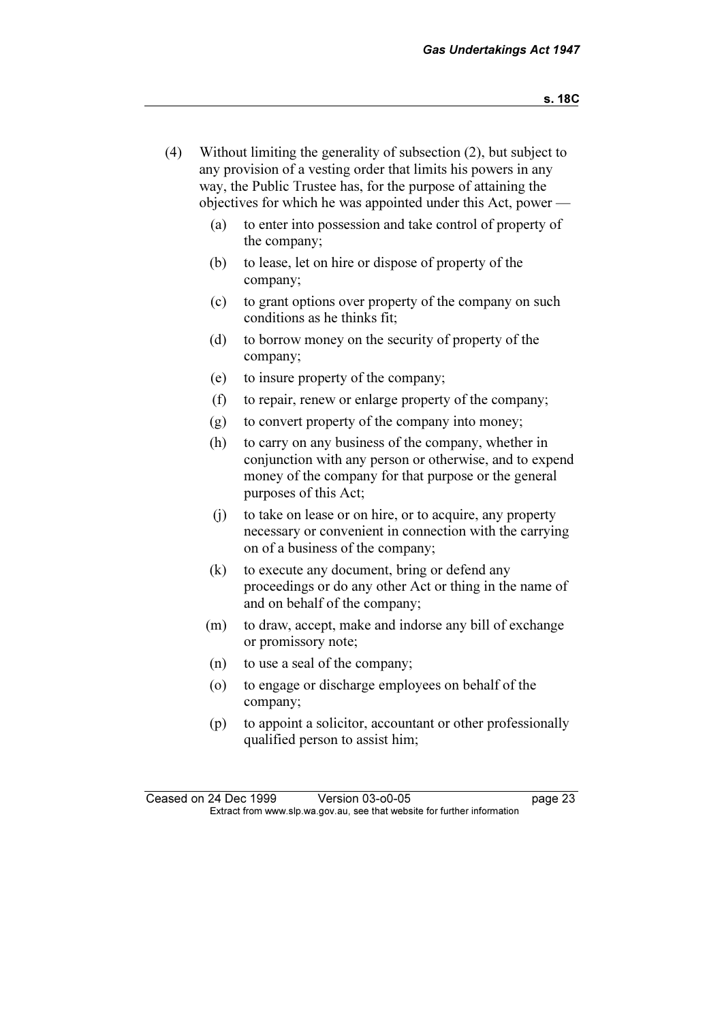- (4) Without limiting the generality of subsection (2), but subject to any provision of a vesting order that limits his powers in any way, the Public Trustee has, for the purpose of attaining the objectives for which he was appointed under this Act, power —
	- (a) to enter into possession and take control of property of the company;
	- (b) to lease, let on hire or dispose of property of the company;
	- (c) to grant options over property of the company on such conditions as he thinks fit;
	- (d) to borrow money on the security of property of the company;
	- (e) to insure property of the company;
	- (f) to repair, renew or enlarge property of the company;
	- (g) to convert property of the company into money;
	- (h) to carry on any business of the company, whether in conjunction with any person or otherwise, and to expend money of the company for that purpose or the general purposes of this Act;
	- (j) to take on lease or on hire, or to acquire, any property necessary or convenient in connection with the carrying on of a business of the company;
	- (k) to execute any document, bring or defend any proceedings or do any other Act or thing in the name of and on behalf of the company;
	- (m) to draw, accept, make and indorse any bill of exchange or promissory note;
	- (n) to use a seal of the company;
	- (o) to engage or discharge employees on behalf of the company;
	- (p) to appoint a solicitor, accountant or other professionally qualified person to assist him;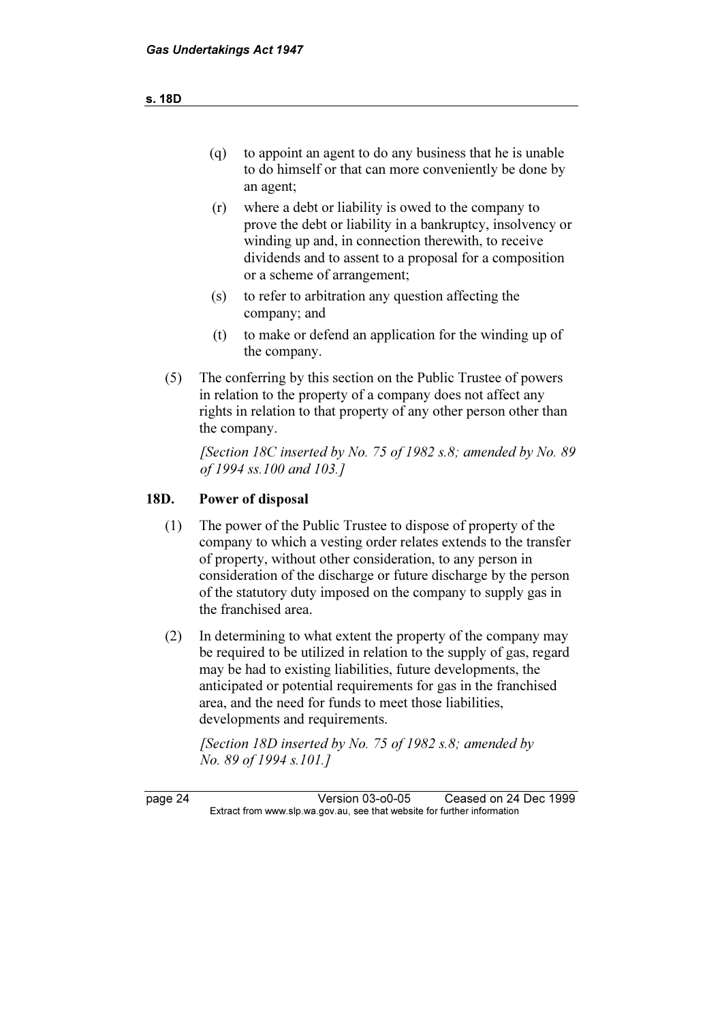- (q) to appoint an agent to do any business that he is unable to do himself or that can more conveniently be done by an agent;
- (r) where a debt or liability is owed to the company to prove the debt or liability in a bankruptcy, insolvency or winding up and, in connection therewith, to receive dividends and to assent to a proposal for a composition or a scheme of arrangement;
- (s) to refer to arbitration any question affecting the company; and
- (t) to make or defend an application for the winding up of the company.
- (5) The conferring by this section on the Public Trustee of powers in relation to the property of a company does not affect any rights in relation to that property of any other person other than the company.

[Section 18C inserted by No. 75 of 1982 s.8; amended by No. 89 of 1994 ss.100 and 103.]

### 18D. Power of disposal

- (1) The power of the Public Trustee to dispose of property of the company to which a vesting order relates extends to the transfer of property, without other consideration, to any person in consideration of the discharge or future discharge by the person of the statutory duty imposed on the company to supply gas in the franchised area.
- (2) In determining to what extent the property of the company may be required to be utilized in relation to the supply of gas, regard may be had to existing liabilities, future developments, the anticipated or potential requirements for gas in the franchised area, and the need for funds to meet those liabilities, developments and requirements.

[Section 18D inserted by No. 75 of 1982 s.8; amended by No. 89 of 1994 s.101.]

page 24 Version 03-o0-05 Ceased on 24 Dec 1999<br>Extract from www.slp.wa.gov.au, see that website for further information  $\mathbf{F}$  from which was the set that we besite for further information  $\mathbf{F}$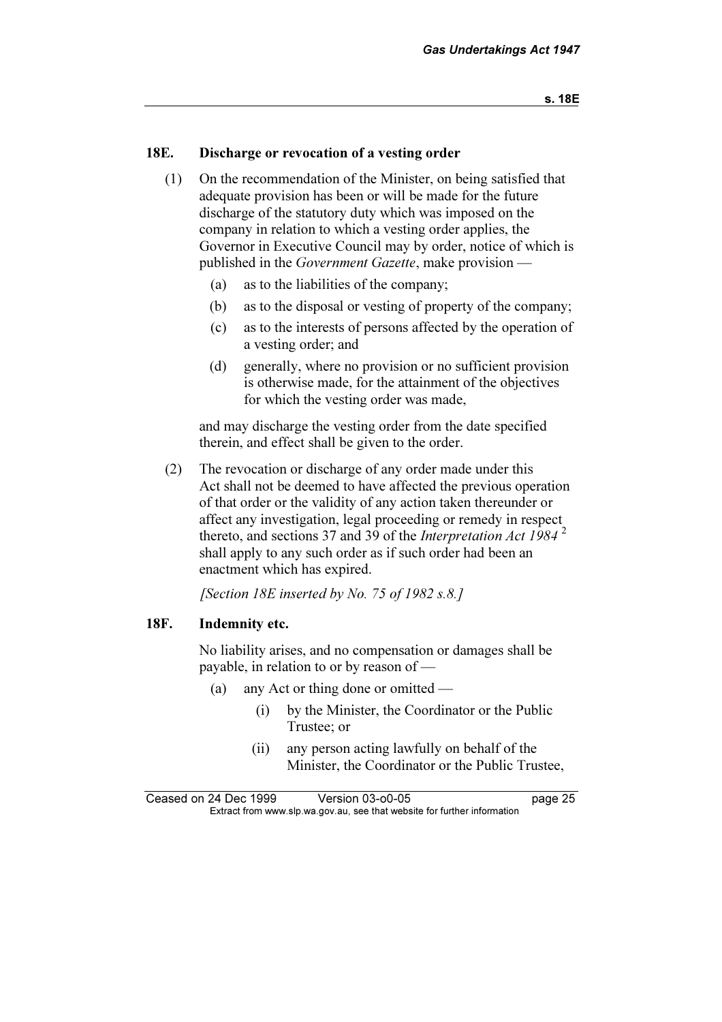### 18E. Discharge or revocation of a vesting order

- (1) On the recommendation of the Minister, on being satisfied that adequate provision has been or will be made for the future discharge of the statutory duty which was imposed on the company in relation to which a vesting order applies, the Governor in Executive Council may by order, notice of which is published in the Government Gazette, make provision —
	- (a) as to the liabilities of the company;
	- (b) as to the disposal or vesting of property of the company;
	- (c) as to the interests of persons affected by the operation of a vesting order; and
	- (d) generally, where no provision or no sufficient provision is otherwise made, for the attainment of the objectives for which the vesting order was made,

 and may discharge the vesting order from the date specified therein, and effect shall be given to the order.

 (2) The revocation or discharge of any order made under this Act shall not be deemed to have affected the previous operation of that order or the validity of any action taken thereunder or affect any investigation, legal proceeding or remedy in respect thereto, and sections 37 and 39 of the *Interpretation Act 1984*<sup>2</sup> shall apply to any such order as if such order had been an enactment which has expired.

[Section 18E inserted by No. 75 of 1982 s.8.]

#### 18F. Indemnity etc.

 No liability arises, and no compensation or damages shall be payable, in relation to or by reason of —

- (a) any Act or thing done or omitted
	- (i) by the Minister, the Coordinator or the Public Trustee; or
	- (ii) any person acting lawfully on behalf of the Minister, the Coordinator or the Public Trustee,

Ceased on 24 Dec 1999 Version 03-o0-05 page 25<br>Extract from www.slp.wa.gov.au, see that website for further information  $\mathbf{F}$  from which was the set that we besite for further information  $\mathbf{F}$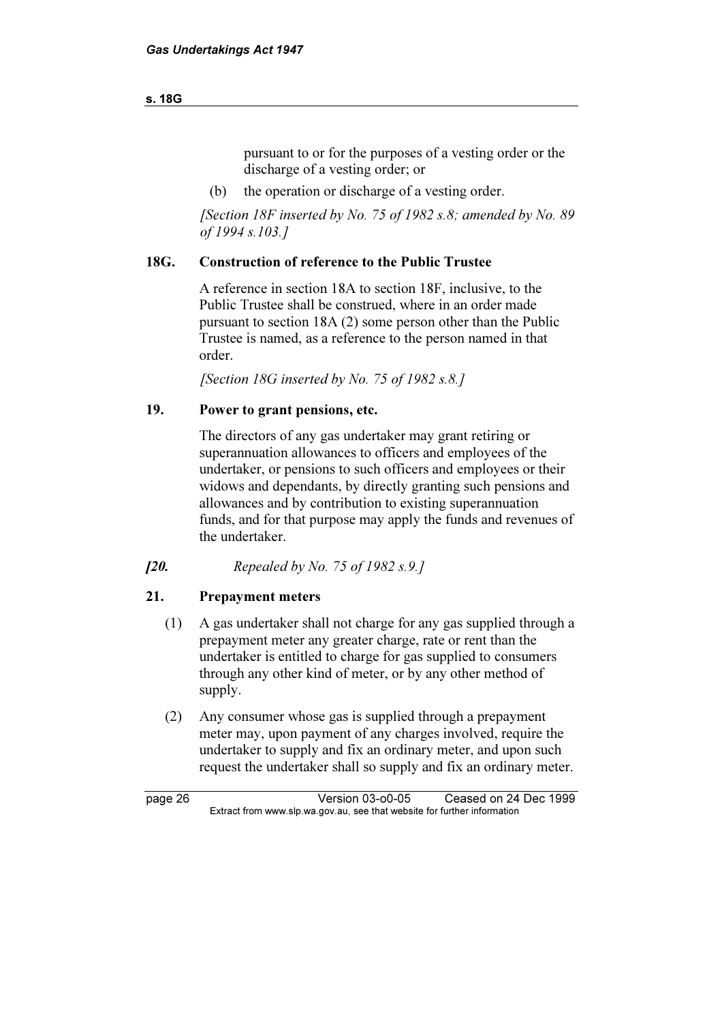#### s. 18G

 pursuant to or for the purposes of a vesting order or the discharge of a vesting order; or

(b) the operation or discharge of a vesting order.

[Section 18F inserted by No. 75 of 1982 s.8; amended by No. 89 of 1994 s.103.]

# 18G. Construction of reference to the Public Trustee

 A reference in section 18A to section 18F, inclusive, to the Public Trustee shall be construed, where in an order made pursuant to section 18A (2) some person other than the Public Trustee is named, as a reference to the person named in that order.

[Section 18G inserted by No. 75 of 1982 s.8.]

# 19. Power to grant pensions, etc.

 The directors of any gas undertaker may grant retiring or superannuation allowances to officers and employees of the undertaker, or pensions to such officers and employees or their widows and dependants, by directly granting such pensions and allowances and by contribution to existing superannuation funds, and for that purpose may apply the funds and revenues of the undertaker.

[20. Repealed by No. 75 of 1982 s.9.]

# 21. Prepayment meters

- (1) A gas undertaker shall not charge for any gas supplied through a prepayment meter any greater charge, rate or rent than the undertaker is entitled to charge for gas supplied to consumers through any other kind of meter, or by any other method of supply.
- (2) Any consumer whose gas is supplied through a prepayment meter may, upon payment of any charges involved, require the undertaker to supply and fix an ordinary meter, and upon such request the undertaker shall so supply and fix an ordinary meter.

page 26 Version 03-o0-05 Ceased on 24 Dec 1999<br>Extract from www.slp.wa.gov.au, see that website for further information  $\mathbf{F}$  from which was the set that we besite for further information  $\mathbf{F}$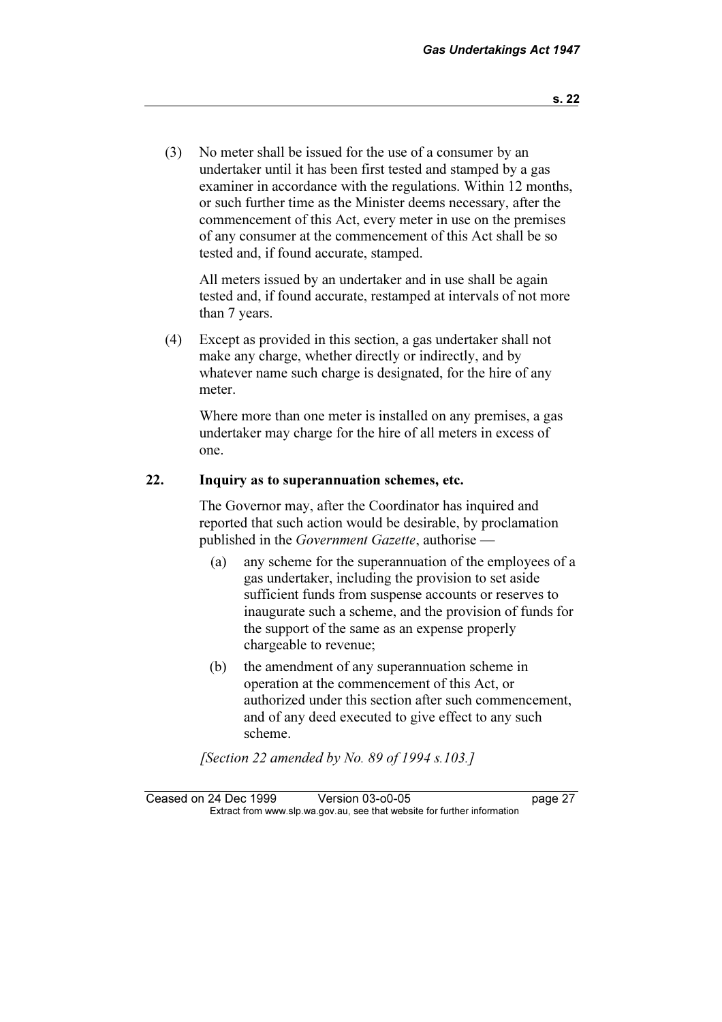(3) No meter shall be issued for the use of a consumer by an undertaker until it has been first tested and stamped by a gas examiner in accordance with the regulations. Within 12 months, or such further time as the Minister deems necessary, after the commencement of this Act, every meter in use on the premises of any consumer at the commencement of this Act shall be so tested and, if found accurate, stamped.

 All meters issued by an undertaker and in use shall be again tested and, if found accurate, restamped at intervals of not more than 7 years.

 (4) Except as provided in this section, a gas undertaker shall not make any charge, whether directly or indirectly, and by whatever name such charge is designated, for the hire of any meter.

 Where more than one meter is installed on any premises, a gas undertaker may charge for the hire of all meters in excess of one.

#### 22. Inquiry as to superannuation schemes, etc.

 The Governor may, after the Coordinator has inquired and reported that such action would be desirable, by proclamation published in the Government Gazette, authorise —

- (a) any scheme for the superannuation of the employees of a gas undertaker, including the provision to set aside sufficient funds from suspense accounts or reserves to inaugurate such a scheme, and the provision of funds for the support of the same as an expense properly chargeable to revenue;
- (b) the amendment of any superannuation scheme in operation at the commencement of this Act, or authorized under this section after such commencement, and of any deed executed to give effect to any such scheme.

[Section 22 amended by No. 89 of 1994 s.103.]

Ceased on 24 Dec 1999 Version 03-o0-05 page 27<br>Extract from www.slp.wa.gov.au, see that website for further information  $\mathbf{F}$  from which was the set that we besite for further information  $\mathbf{F}$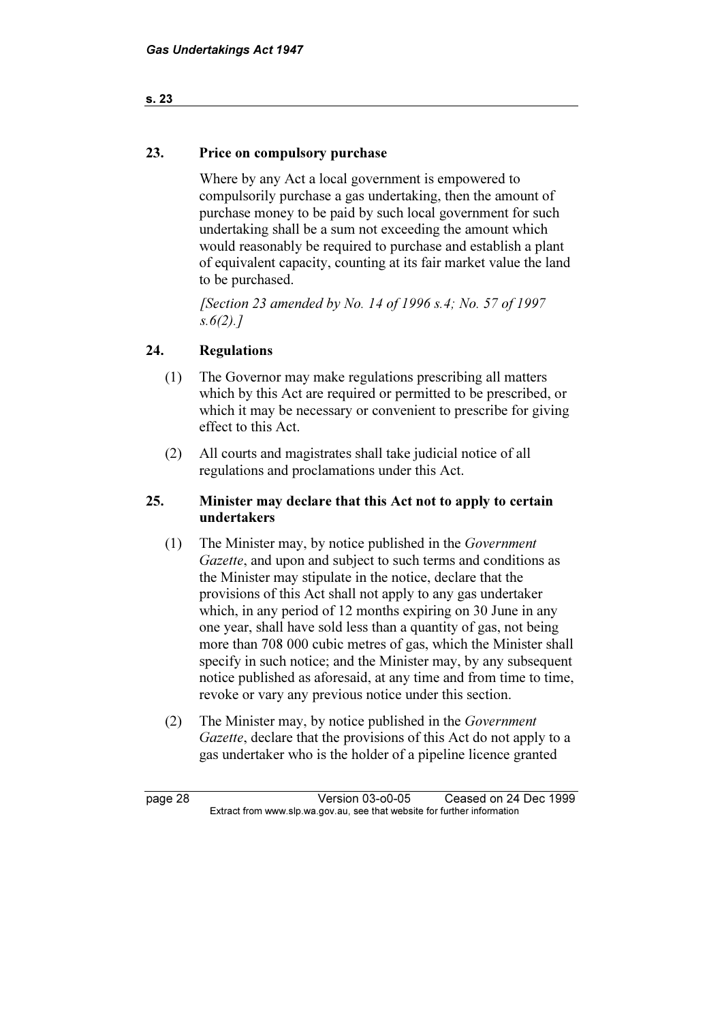#### s. 23

#### 23. Price on compulsory purchase

 Where by any Act a local government is empowered to compulsorily purchase a gas undertaking, then the amount of purchase money to be paid by such local government for such undertaking shall be a sum not exceeding the amount which would reasonably be required to purchase and establish a plant of equivalent capacity, counting at its fair market value the land to be purchased.

 [Section 23 amended by No. 14 of 1996 s.4; No. 57 of 1997  $s.6(2).7$ 

#### 24. Regulations

- (1) The Governor may make regulations prescribing all matters which by this Act are required or permitted to be prescribed, or which it may be necessary or convenient to prescribe for giving effect to this Act.
- (2) All courts and magistrates shall take judicial notice of all regulations and proclamations under this Act.

#### 25. Minister may declare that this Act not to apply to certain undertakers

- (1) The Minister may, by notice published in the Government Gazette, and upon and subject to such terms and conditions as the Minister may stipulate in the notice, declare that the provisions of this Act shall not apply to any gas undertaker which, in any period of 12 months expiring on 30 June in any one year, shall have sold less than a quantity of gas, not being more than 708 000 cubic metres of gas, which the Minister shall specify in such notice; and the Minister may, by any subsequent notice published as aforesaid, at any time and from time to time, revoke or vary any previous notice under this section.
- (2) The Minister may, by notice published in the Government Gazette, declare that the provisions of this Act do not apply to a gas undertaker who is the holder of a pipeline licence granted

page 28 Version 03-o0-05 Ceased on 24 Dec 1999 Extract from www.slp.wa.gov.au, see that website for further information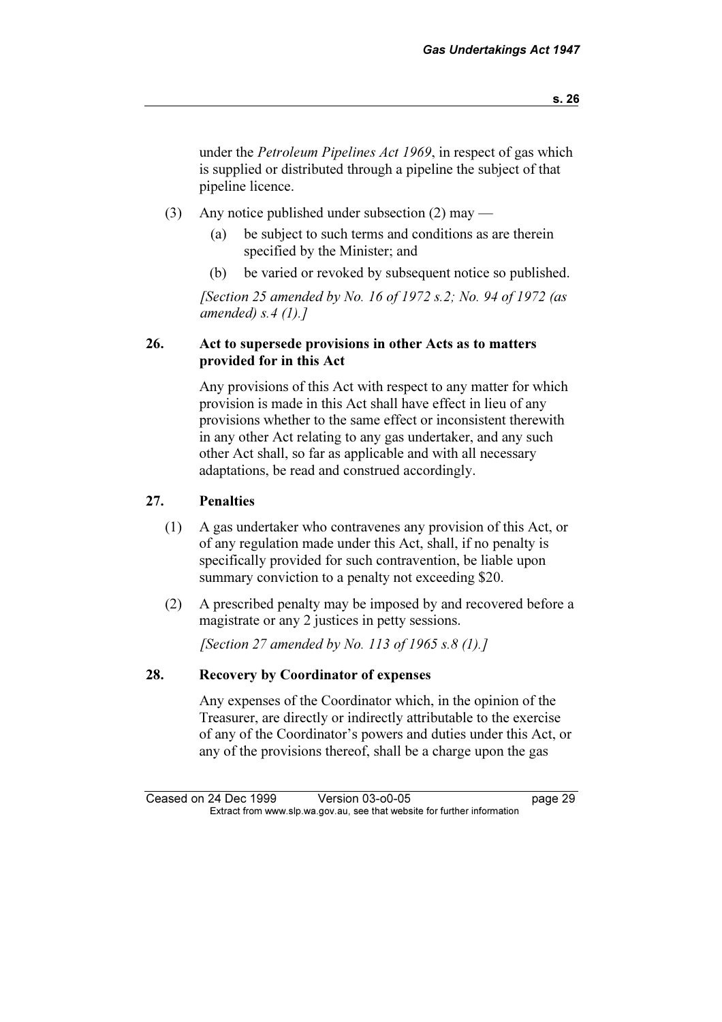under the Petroleum Pipelines Act 1969, in respect of gas which is supplied or distributed through a pipeline the subject of that pipeline licence.

- (3) Any notice published under subsection (2) may
	- (a) be subject to such terms and conditions as are therein specified by the Minister; and
	- (b) be varied or revoked by subsequent notice so published.

[Section 25 amended by No. 16 of 1972 s.2; No. 94 of 1972 (as amended)  $s$ . 4 (1). 1

#### 26. Act to supersede provisions in other Acts as to matters provided for in this Act

 Any provisions of this Act with respect to any matter for which provision is made in this Act shall have effect in lieu of any provisions whether to the same effect or inconsistent therewith in any other Act relating to any gas undertaker, and any such other Act shall, so far as applicable and with all necessary adaptations, be read and construed accordingly.

# 27. Penalties

- (1) A gas undertaker who contravenes any provision of this Act, or of any regulation made under this Act, shall, if no penalty is specifically provided for such contravention, be liable upon summary conviction to a penalty not exceeding \$20.
- (2) A prescribed penalty may be imposed by and recovered before a magistrate or any 2 justices in petty sessions.

[Section 27 amended by No. 113 of 1965 s.8 (1).]

#### 28. Recovery by Coordinator of expenses

 Any expenses of the Coordinator which, in the opinion of the Treasurer, are directly or indirectly attributable to the exercise of any of the Coordinator's powers and duties under this Act, or any of the provisions thereof, shall be a charge upon the gas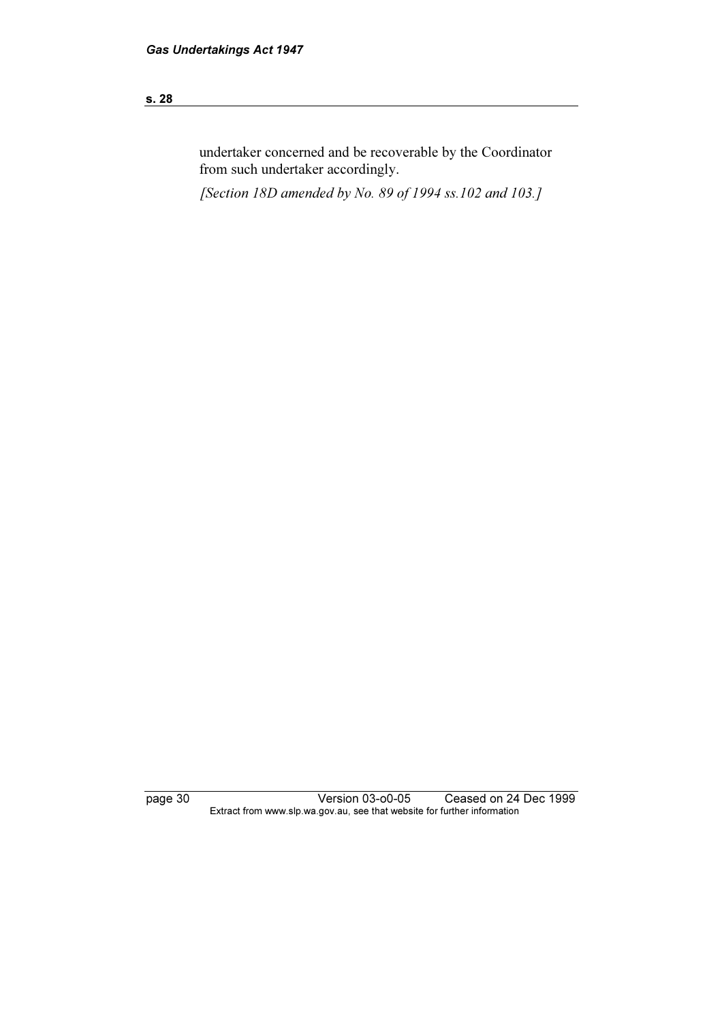#### s. 28

undertaker concerned and be recoverable by the Coordinator from such undertaker accordingly.

[Section 18D amended by No. 89 of 1994 ss.102 and 103.]

page 30 Version 03-o0-05 Ceased on 24 Dec 1999 Extract from www.slp.wa.gov.au, see that website for further information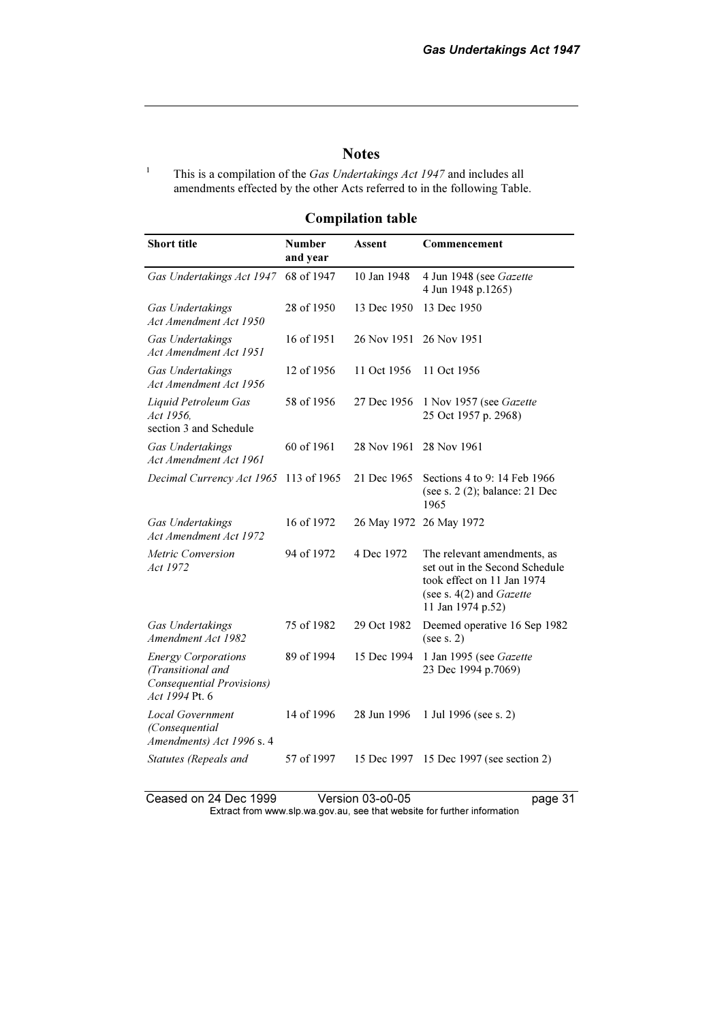### **Notes**

This is a compilation of the Gas Undertakings Act 1947 and includes all amendments effected by the other Acts referred to in the following Table.

1

Compilation table

| <b>Short title</b>                                                                             | <b>Number</b><br>and year | Assent                  | Commencement                                                                                                                                   |
|------------------------------------------------------------------------------------------------|---------------------------|-------------------------|------------------------------------------------------------------------------------------------------------------------------------------------|
| Gas Undertakings Act 1947                                                                      | 68 of 1947                | 10 Jan 1948             | 4 Jun 1948 (see Gazette<br>4 Jun 1948 p.1265)                                                                                                  |
| Gas Undertakings<br>Act Amendment Act 1950                                                     | 28 of 1950                | 13 Dec 1950             | 13 Dec 1950                                                                                                                                    |
| Gas Undertakings<br>Act Amendment Act 1951                                                     | 16 of 1951                | 26 Nov 1951             | 26 Nov 1951                                                                                                                                    |
| Gas Undertakings<br>Act Amendment Act 1956                                                     | 12 of 1956                | 11 Oct 1956             | 11 Oct 1956                                                                                                                                    |
| Liquid Petroleum Gas<br>Act 1956.<br>section 3 and Schedule                                    | 58 of 1956                | 27 Dec 1956             | 1 Nov 1957 (see Gazette<br>25 Oct 1957 p. 2968)                                                                                                |
| Gas Undertakings<br>Act Amendment Act 1961                                                     | 60 of 1961                | 28 Nov 1961             | 28 Nov 1961                                                                                                                                    |
| Decimal Currency Act 1965                                                                      | 113 of 1965               | 21 Dec 1965             | Sections 4 to 9: 14 Feb 1966<br>(see s. 2 (2); balance: 21 Dec<br>1965                                                                         |
| Gas Undertakings<br>Act Amendment Act 1972                                                     | 16 of 1972                | 26 May 1972 26 May 1972 |                                                                                                                                                |
| Metric Conversion<br>Act 1972                                                                  | 94 of 1972                | 4 Dec 1972              | The relevant amendments, as<br>set out in the Second Schedule<br>took effect on 11 Jan 1974<br>(see s. $4(2)$ and Gazette<br>11 Jan 1974 p.52) |
| Gas Undertakings<br>Amendment Act 1982                                                         | 75 of 1982                | 29 Oct 1982             | Deemed operative 16 Sep 1982<br>(see s. 2)                                                                                                     |
| <b>Energy Corporations</b><br>(Transitional and<br>Consequential Provisions)<br>Act 1994 Pt. 6 | 89 of 1994                | 15 Dec 1994             | 1 Jan 1995 (see Gazette<br>23 Dec 1994 p.7069)                                                                                                 |
| <b>Local Government</b><br>(Consequential<br>Amendments) Act 1996 s. 4                         | 14 of 1996                | 28 Jun 1996             | 1 Jul 1996 (see s. 2)                                                                                                                          |
| Statutes (Repeals and                                                                          | 57 of 1997                | 15 Dec 1997             | 15 Dec 1997 (see section 2)                                                                                                                    |

Ceased on 24 Dec 1999 Version 03-o0-05 page 31 Extract from www.slp.wa.gov.au, see that website for further information